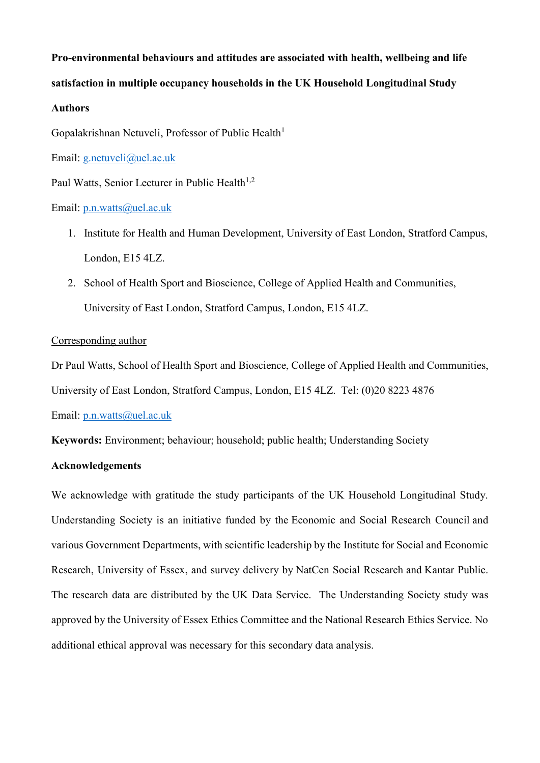# **Pro-environmental behaviours and attitudes are associated with health, wellbeing and life satisfaction in multiple occupancy households in the UK Household Longitudinal Study**

# **Authors**

Gopalakrishnan Netuveli, Professor of Public Health<sup>1</sup>

Email: [g.netuveli@uel.ac.uk](mailto:g.netuveli@uel.ac.uk)

Paul Watts, Senior Lecturer in Public Health<sup>1,2</sup>

Email: [p.n.watts@uel.ac.uk](mailto:p.n.watts@uel.ac.uk)

- 1. Institute for Health and Human Development, University of East London, Stratford Campus, London, E15 4LZ.
- 2. School of Health Sport and Bioscience, College of Applied Health and Communities, University of East London, Stratford Campus, London, E15 4LZ.

# Corresponding author

Dr Paul Watts, School of Health Sport and Bioscience, College of Applied Health and Communities,

University of East London, Stratford Campus, London, E15 4LZ. Tel: (0)20 8223 4876

Email: [p.n.watts@uel.ac.uk](mailto:p.n.watts@uel.ac.uk)

**Keywords:** Environment; behaviour; household; public health; Understanding Society

# **Acknowledgements**

We acknowledge with gratitude the study participants of the UK Household Longitudinal Study. Understanding Society is an initiative funded by the [Economic and Social Research Council](http://www.esrc.ac.uk/) and various Government Departments, with scientific leadership by the [Institute for Social and Economic](https://www.iser.essex.ac.uk/)  [Research,](https://www.iser.essex.ac.uk/) University of Essex, and survey delivery by [NatCen Social Research](http://natcen.ac.uk/) and [Kantar Public.](http://www.kantar.com/) The research data are distributed by the [UK Data Service.](https://www.ukdataservice.ac.uk/) The Understanding Society study was approved by the University of Essex Ethics Committee and the National Research Ethics Service. No additional ethical approval was necessary for this secondary data analysis.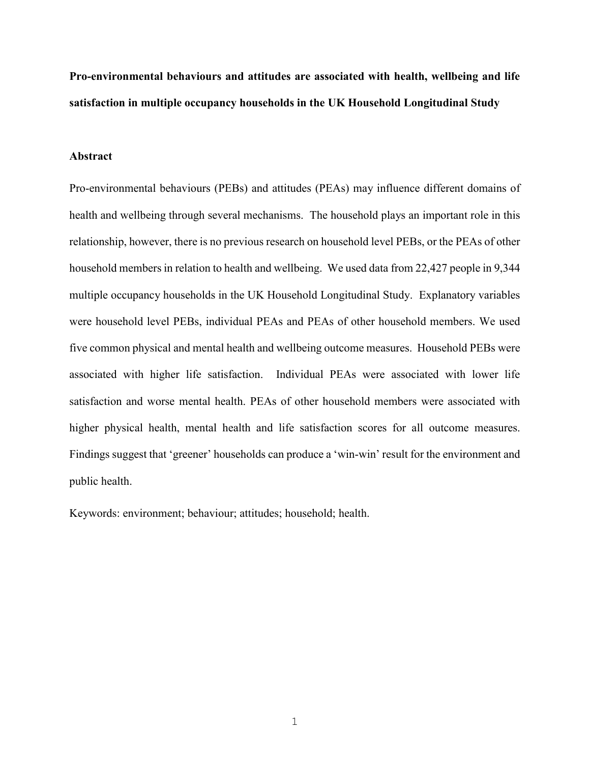**Pro-environmental behaviours and attitudes are associated with health, wellbeing and life satisfaction in multiple occupancy households in the UK Household Longitudinal Study**

## **Abstract**

Pro-environmental behaviours (PEBs) and attitudes (PEAs) may influence different domains of health and wellbeing through several mechanisms. The household plays an important role in this relationship, however, there is no previous research on household level PEBs, or the PEAs of other household members in relation to health and wellbeing. We used data from 22,427 people in 9,344 multiple occupancy households in the UK Household Longitudinal Study. Explanatory variables were household level PEBs, individual PEAs and PEAs of other household members. We used five common physical and mental health and wellbeing outcome measures. Household PEBs were associated with higher life satisfaction. Individual PEAs were associated with lower life satisfaction and worse mental health. PEAs of other household members were associated with higher physical health, mental health and life satisfaction scores for all outcome measures. Findings suggest that 'greener' households can produce a 'win-win' result for the environment and public health.

Keywords: environment; behaviour; attitudes; household; health.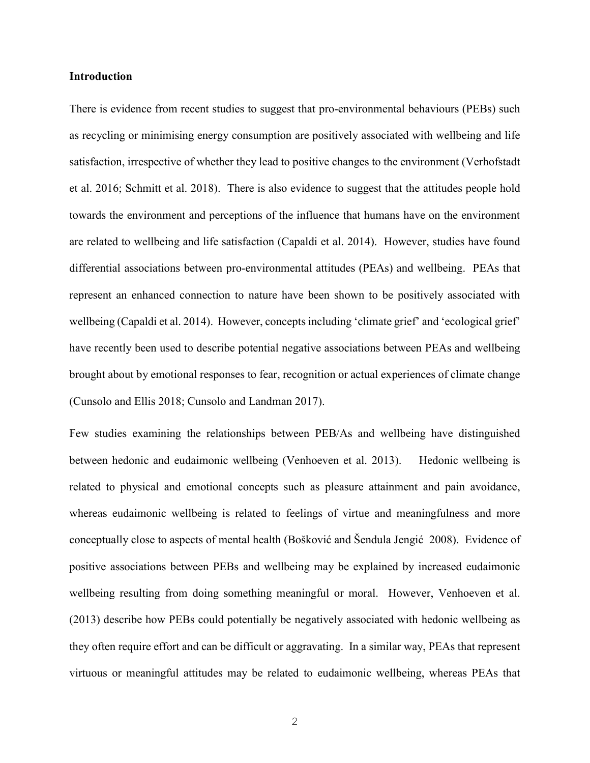#### **Introduction**

There is evidence from recent studies to suggest that pro-environmental behaviours (PEBs) such as recycling or minimising energy consumption are positively associated with wellbeing and life satisfaction, irrespective of whether they lead to positive changes to the environment (Verhofstadt et al. 2016; Schmitt et al. 2018). There is also evidence to suggest that the attitudes people hold towards the environment and perceptions of the influence that humans have on the environment are related to wellbeing and life satisfaction (Capaldi et al. 2014). However, studies have found differential associations between pro-environmental attitudes (PEAs) and wellbeing. PEAs that represent an enhanced connection to nature have been shown to be positively associated with wellbeing (Capaldi et al. 2014). However, concepts including 'climate grief' and 'ecological grief' have recently been used to describe potential negative associations between PEAs and wellbeing brought about by emotional responses to fear, recognition or actual experiences of climate change (Cunsolo and Ellis 2018; Cunsolo and Landman 2017).

Few studies examining the relationships between PEB/As and wellbeing have distinguished between hedonic and eudaimonic wellbeing (Venhoeven et al. 2013). Hedonic wellbeing is related to physical and emotional concepts such as pleasure attainment and pain avoidance, whereas eudaimonic wellbeing is related to feelings of virtue and meaningfulness and more conceptually close to aspects of mental health (Bošković and Šendula Jengić 2008). Evidence of positive associations between PEBs and wellbeing may be explained by increased eudaimonic wellbeing resulting from doing something meaningful or moral. However, Venhoeven et al. (2013) describe how PEBs could potentially be negatively associated with hedonic wellbeing as they often require effort and can be difficult or aggravating. In a similar way, PEAs that represent virtuous or meaningful attitudes may be related to eudaimonic wellbeing, whereas PEAs that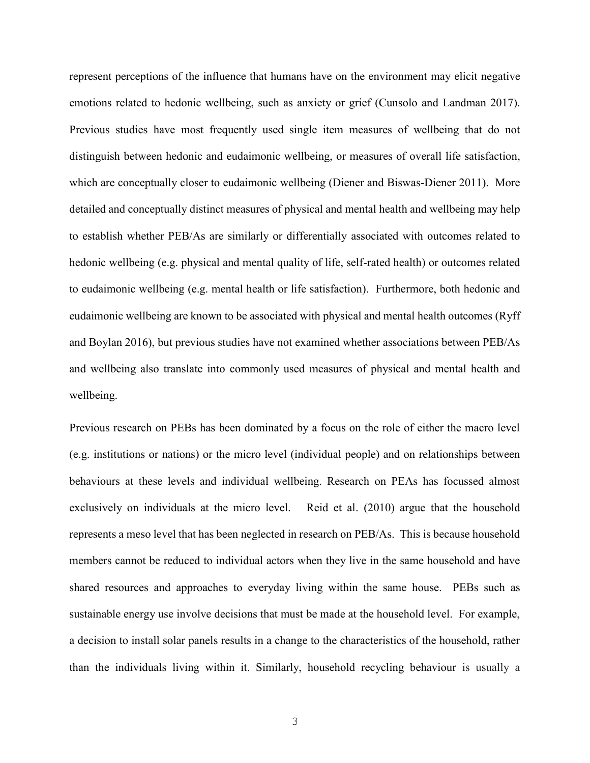represent perceptions of the influence that humans have on the environment may elicit negative emotions related to hedonic wellbeing, such as anxiety or grief (Cunsolo and Landman 2017). Previous studies have most frequently used single item measures of wellbeing that do not distinguish between hedonic and eudaimonic wellbeing, or measures of overall life satisfaction, which are conceptually closer to eudaimonic wellbeing (Diener and Biswas-Diener 2011). More detailed and conceptually distinct measures of physical and mental health and wellbeing may help to establish whether PEB/As are similarly or differentially associated with outcomes related to hedonic wellbeing (e.g. physical and mental quality of life, self-rated health) or outcomes related to eudaimonic wellbeing (e.g. mental health or life satisfaction). Furthermore, both hedonic and eudaimonic wellbeing are known to be associated with physical and mental health outcomes (Ryff and Boylan 2016), but previous studies have not examined whether associations between PEB/As and wellbeing also translate into commonly used measures of physical and mental health and wellbeing.

Previous research on PEBs has been dominated by a focus on the role of either the macro level (e.g. institutions or nations) or the micro level (individual people) and on relationships between behaviours at these levels and individual wellbeing. Research on PEAs has focussed almost exclusively on individuals at the micro level. Reid et al. (2010) argue that the household represents a meso level that has been neglected in research on PEB/As. This is because household members cannot be reduced to individual actors when they live in the same household and have shared resources and approaches to everyday living within the same house. PEBs such as sustainable energy use involve decisions that must be made at the household level. For example, a decision to install solar panels results in a change to the characteristics of the household, rather than the individuals living within it. Similarly, household recycling behaviour is usually a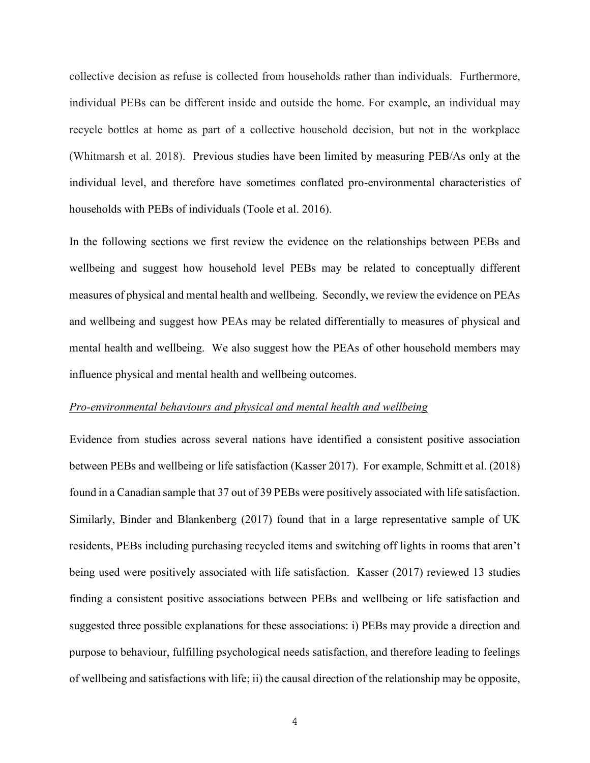collective decision as refuse is collected from households rather than individuals. Furthermore, individual PEBs can be different inside and outside the home. For example, an individual may recycle bottles at home as part of a collective household decision, but not in the workplace (Whitmarsh et al. 2018). Previous studies have been limited by measuring PEB/As only at the individual level, and therefore have sometimes conflated pro-environmental characteristics of households with PEBs of individuals (Toole et al. 2016).

In the following sections we first review the evidence on the relationships between PEBs and wellbeing and suggest how household level PEBs may be related to conceptually different measures of physical and mental health and wellbeing. Secondly, we review the evidence on PEAs and wellbeing and suggest how PEAs may be related differentially to measures of physical and mental health and wellbeing. We also suggest how the PEAs of other household members may influence physical and mental health and wellbeing outcomes.

# *Pro-environmental behaviours and physical and mental health and wellbeing*

Evidence from studies across several nations have identified a consistent positive association between PEBs and wellbeing or life satisfaction (Kasser 2017). For example, Schmitt et al. (2018) found in a Canadian sample that 37 out of 39 PEBs were positively associated with life satisfaction. Similarly, Binder and Blankenberg (2017) found that in a large representative sample of UK residents, PEBs including purchasing recycled items and switching off lights in rooms that aren't being used were positively associated with life satisfaction. Kasser (2017) reviewed 13 studies finding a consistent positive associations between PEBs and wellbeing or life satisfaction and suggested three possible explanations for these associations: i) PEBs may provide a direction and purpose to behaviour, fulfilling psychological needs satisfaction, and therefore leading to feelings of wellbeing and satisfactions with life; ii) the causal direction of the relationship may be opposite,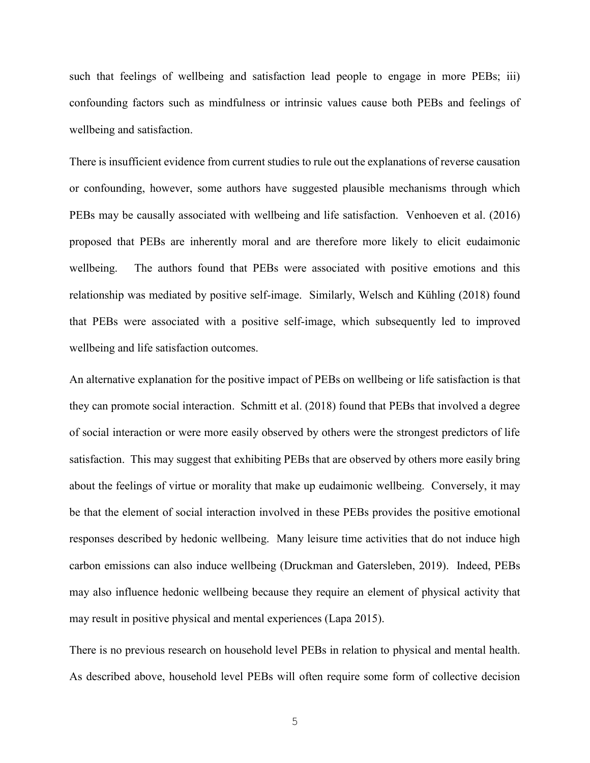such that feelings of wellbeing and satisfaction lead people to engage in more PEBs; iii) confounding factors such as mindfulness or intrinsic values cause both PEBs and feelings of wellbeing and satisfaction.

There is insufficient evidence from current studies to rule out the explanations of reverse causation or confounding, however, some authors have suggested plausible mechanisms through which PEBs may be causally associated with wellbeing and life satisfaction. Venhoeven et al. (2016) proposed that PEBs are inherently moral and are therefore more likely to elicit eudaimonic wellbeing. The authors found that PEBs were associated with positive emotions and this relationship was mediated by positive self-image. Similarly, Welsch and Kühling (2018) found that PEBs were associated with a positive self-image, which subsequently led to improved wellbeing and life satisfaction outcomes.

An alternative explanation for the positive impact of PEBs on wellbeing or life satisfaction is that they can promote social interaction. Schmitt et al. (2018) found that PEBs that involved a degree of social interaction or were more easily observed by others were the strongest predictors of life satisfaction. This may suggest that exhibiting PEBs that are observed by others more easily bring about the feelings of virtue or morality that make up eudaimonic wellbeing. Conversely, it may be that the element of social interaction involved in these PEBs provides the positive emotional responses described by hedonic wellbeing. Many leisure time activities that do not induce high carbon emissions can also induce wellbeing (Druckman and Gatersleben, 2019). Indeed, PEBs may also influence hedonic wellbeing because they require an element of physical activity that may result in positive physical and mental experiences (Lapa 2015).

There is no previous research on household level PEBs in relation to physical and mental health. As described above, household level PEBs will often require some form of collective decision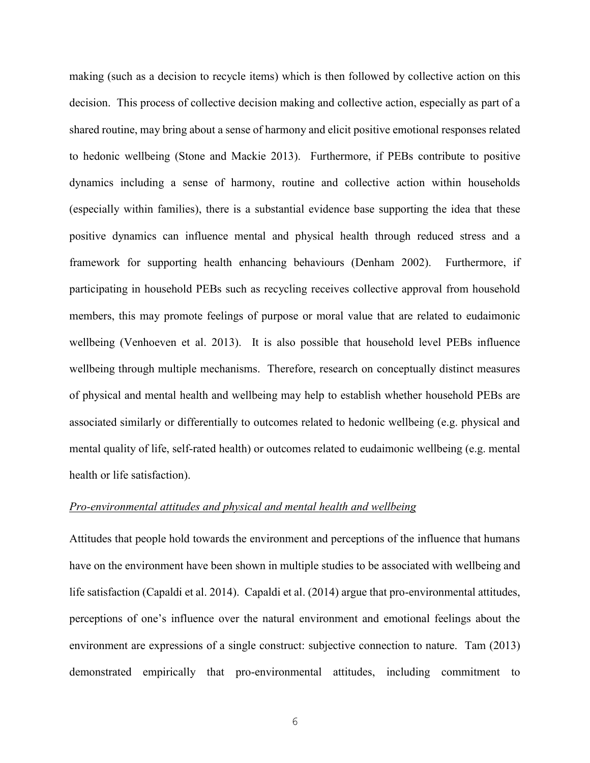making (such as a decision to recycle items) which is then followed by collective action on this decision. This process of collective decision making and collective action, especially as part of a shared routine, may bring about a sense of harmony and elicit positive emotional responses related to hedonic wellbeing (Stone and Mackie 2013). Furthermore, if PEBs contribute to positive dynamics including a sense of harmony, routine and collective action within households (especially within families), there is a substantial evidence base supporting the idea that these positive dynamics can influence mental and physical health through reduced stress and a framework for supporting health enhancing behaviours (Denham 2002). Furthermore, if participating in household PEBs such as recycling receives collective approval from household members, this may promote feelings of purpose or moral value that are related to eudaimonic wellbeing (Venhoeven et al. 2013). It is also possible that household level PEBs influence wellbeing through multiple mechanisms. Therefore, research on conceptually distinct measures of physical and mental health and wellbeing may help to establish whether household PEBs are associated similarly or differentially to outcomes related to hedonic wellbeing (e.g. physical and mental quality of life, self-rated health) or outcomes related to eudaimonic wellbeing (e.g. mental health or life satisfaction).

#### *Pro-environmental attitudes and physical and mental health and wellbeing*

Attitudes that people hold towards the environment and perceptions of the influence that humans have on the environment have been shown in multiple studies to be associated with wellbeing and life satisfaction (Capaldi et al. 2014). Capaldi et al. (2014) argue that pro-environmental attitudes, perceptions of one's influence over the natural environment and emotional feelings about the environment are expressions of a single construct: subjective connection to nature. Tam (2013) demonstrated empirically that pro-environmental attitudes, including commitment to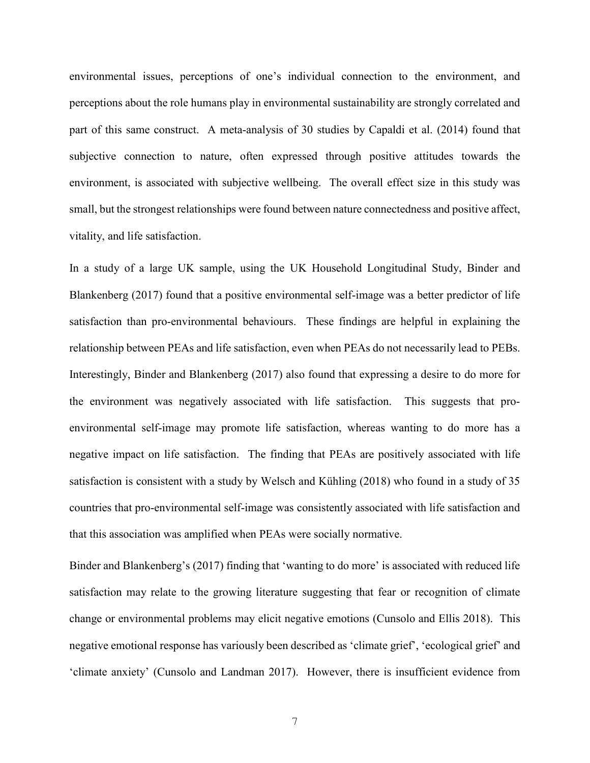environmental issues, perceptions of one's individual connection to the environment, and perceptions about the role humans play in environmental sustainability are strongly correlated and part of this same construct. A meta-analysis of 30 studies by Capaldi et al. (2014) found that subjective connection to nature, often expressed through positive attitudes towards the environment, is associated with subjective wellbeing. The overall effect size in this study was small, but the strongest relationships were found between nature connectedness and positive affect, vitality, and life satisfaction.

In a study of a large UK sample, using the UK Household Longitudinal Study, Binder and Blankenberg (2017) found that a positive environmental self-image was a better predictor of life satisfaction than pro-environmental behaviours. These findings are helpful in explaining the relationship between PEAs and life satisfaction, even when PEAs do not necessarily lead to PEBs. Interestingly, Binder and Blankenberg (2017) also found that expressing a desire to do more for the environment was negatively associated with life satisfaction. This suggests that proenvironmental self-image may promote life satisfaction, whereas wanting to do more has a negative impact on life satisfaction. The finding that PEAs are positively associated with life satisfaction is consistent with a study by Welsch and Kühling (2018) who found in a study of 35 countries that pro-environmental self-image was consistently associated with life satisfaction and that this association was amplified when PEAs were socially normative.

Binder and Blankenberg's (2017) finding that 'wanting to do more' is associated with reduced life satisfaction may relate to the growing literature suggesting that fear or recognition of climate change or environmental problems may elicit negative emotions (Cunsolo and Ellis 2018). This negative emotional response has variously been described as 'climate grief', 'ecological grief' and 'climate anxiety' (Cunsolo and Landman 2017). However, there is insufficient evidence from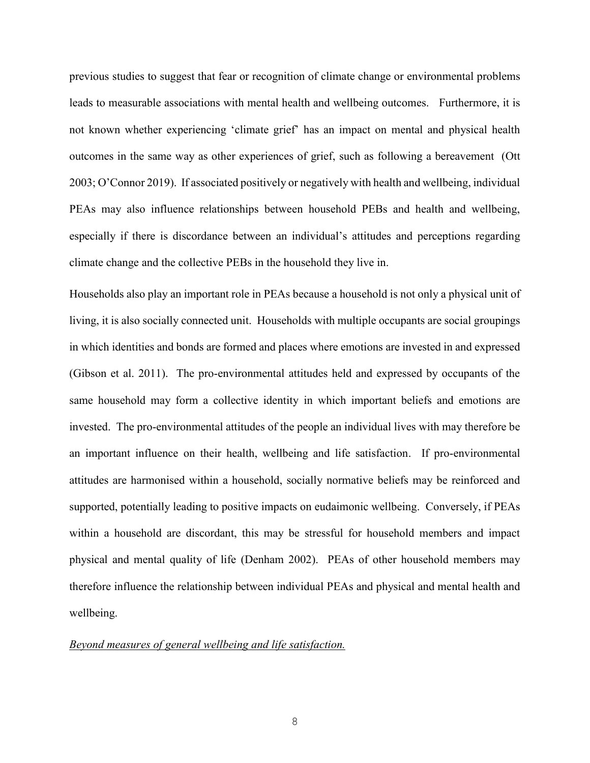previous studies to suggest that fear or recognition of climate change or environmental problems leads to measurable associations with mental health and wellbeing outcomes. Furthermore, it is not known whether experiencing 'climate grief' has an impact on mental and physical health outcomes in the same way as other experiences of grief, such as following a bereavement (Ott 2003; O'Connor 2019). If associated positively or negatively with health and wellbeing, individual PEAs may also influence relationships between household PEBs and health and wellbeing, especially if there is discordance between an individual's attitudes and perceptions regarding climate change and the collective PEBs in the household they live in.

Households also play an important role in PEAs because a household is not only a physical unit of living, it is also socially connected unit. Households with multiple occupants are social groupings in which identities and bonds are formed and places where emotions are invested in and expressed (Gibson et al. 2011). The pro-environmental attitudes held and expressed by occupants of the same household may form a collective identity in which important beliefs and emotions are invested. The pro-environmental attitudes of the people an individual lives with may therefore be an important influence on their health, wellbeing and life satisfaction. If pro-environmental attitudes are harmonised within a household, socially normative beliefs may be reinforced and supported, potentially leading to positive impacts on eudaimonic wellbeing. Conversely, if PEAs within a household are discordant, this may be stressful for household members and impact physical and mental quality of life (Denham 2002). PEAs of other household members may therefore influence the relationship between individual PEAs and physical and mental health and wellbeing.

#### *Beyond measures of general wellbeing and life satisfaction.*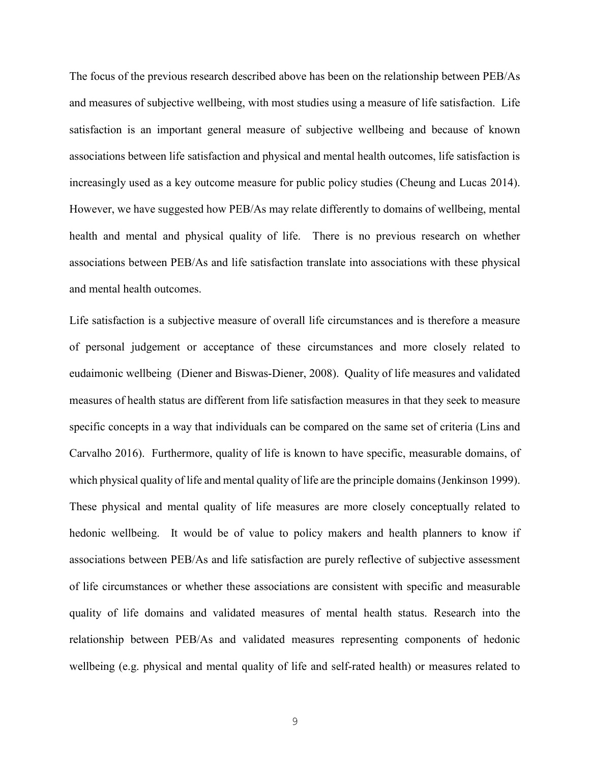The focus of the previous research described above has been on the relationship between PEB/As and measures of subjective wellbeing, with most studies using a measure of life satisfaction. Life satisfaction is an important general measure of subjective wellbeing and because of known associations between life satisfaction and physical and mental health outcomes, life satisfaction is increasingly used as a key outcome measure for public policy studies (Cheung and Lucas 2014). However, we have suggested how PEB/As may relate differently to domains of wellbeing, mental health and mental and physical quality of life. There is no previous research on whether associations between PEB/As and life satisfaction translate into associations with these physical and mental health outcomes.

Life satisfaction is a subjective measure of overall life circumstances and is therefore a measure of personal judgement or acceptance of these circumstances and more closely related to eudaimonic wellbeing (Diener and Biswas-Diener, [2008\)](https://www.tandfonline.com/doi/full/10.1080/17439760.2011.584548). Quality of life measures and validated measures of health status are different from life satisfaction measures in that they seek to measure specific concepts in a way that individuals can be compared on the same set of criteria (Lins and Carvalho 2016). Furthermore, quality of life is known to have specific, measurable domains, of which physical quality of life and mental quality of life are the principle domains (Jenkinson 1999). These physical and mental quality of life measures are more closely conceptually related to hedonic wellbeing. It would be of value to policy makers and health planners to know if associations between PEB/As and life satisfaction are purely reflective of subjective assessment of life circumstances or whether these associations are consistent with specific and measurable quality of life domains and validated measures of mental health status. Research into the relationship between PEB/As and validated measures representing components of hedonic wellbeing (e.g. physical and mental quality of life and self-rated health) or measures related to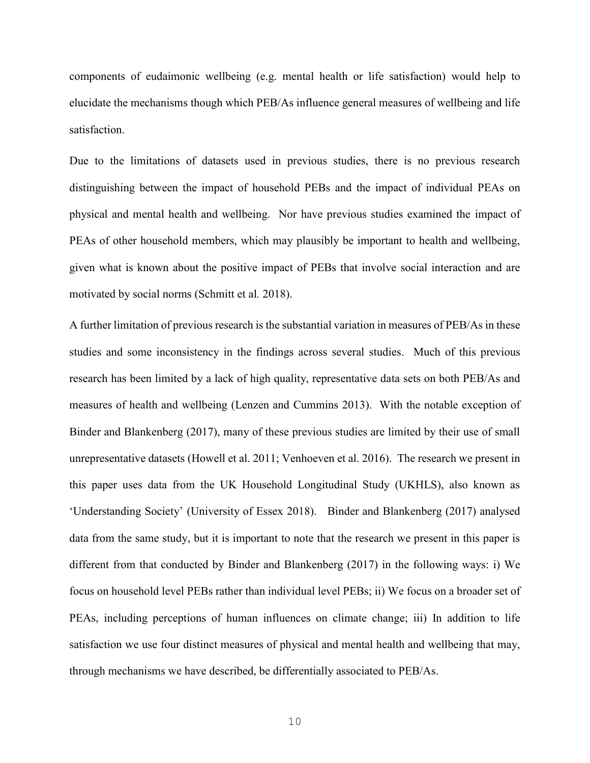components of eudaimonic wellbeing (e.g. mental health or life satisfaction) would help to elucidate the mechanisms though which PEB/As influence general measures of wellbeing and life satisfaction.

Due to the limitations of datasets used in previous studies, there is no previous research distinguishing between the impact of household PEBs and the impact of individual PEAs on physical and mental health and wellbeing. Nor have previous studies examined the impact of PEAs of other household members, which may plausibly be important to health and wellbeing, given what is known about the positive impact of PEBs that involve social interaction and are motivated by social norms (Schmitt et al*.* 2018).

A further limitation of previous research is the substantial variation in measures of PEB/As in these studies and some inconsistency in the findings across several studies. Much of this previous research has been limited by a lack of high quality, representative data sets on both PEB/As and measures of health and wellbeing (Lenzen and Cummins 2013). With the notable exception of Binder and Blankenberg (2017), many of these previous studies are limited by their use of small unrepresentative datasets (Howell et al. 2011; Venhoeven et al. 2016). The research we present in this paper uses data from the UK Household Longitudinal Study (UKHLS), also known as 'Understanding Society' (University of Essex 2018). Binder and Blankenberg (2017) analysed data from the same study, but it is important to note that the research we present in this paper is different from that conducted by Binder and Blankenberg (2017) in the following ways: i) We focus on household level PEBs rather than individual level PEBs; ii) We focus on a broader set of PEAs, including perceptions of human influences on climate change; iii) In addition to life satisfaction we use four distinct measures of physical and mental health and wellbeing that may, through mechanisms we have described, be differentially associated to PEB/As.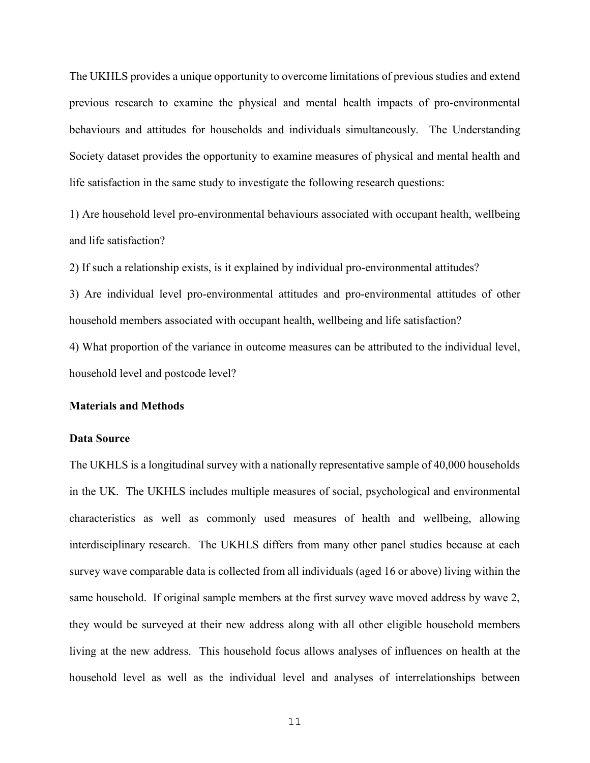The UKHLS provides a unique opportunity to overcome limitations of previous studies and extend previous research to examine the physical and mental health impacts of pro-environmental behaviours and attitudes for households and individuals simultaneously. The Understanding Society dataset provides the opportunity to examine measures of physical and mental health and life satisfaction in the same study to investigate the following research questions:

1) Are household level pro-environmental behaviours associated with occupant health, wellbeing and life satisfaction?

2) If such a relationship exists, is it explained by individual pro-environmental attitudes?

3) Are individual level pro-environmental attitudes and pro-environmental attitudes of other household members associated with occupant health, wellbeing and life satisfaction?

4) What proportion of the variance in outcome measures can be attributed to the individual level, household level and postcode level?

#### **Materials and Methods**

#### **Data Source**

The UKHLS is a longitudinal survey with a nationally representative sample of 40,000 households in the UK. The UKHLS includes multiple measures of social, psychological and environmental characteristics as well as commonly used measures of health and wellbeing, allowing interdisciplinary research. The UKHLS differs from many other panel studies because at each survey wave comparable data is collected from all individuals (aged 16 or above) living within the same household. If original sample members at the first survey wave moved address by wave 2, they would be surveyed at their new address along with all other eligible household members living at the new address. This household focus allows analyses of influences on health at the household level as well as the individual level and analyses of interrelationships between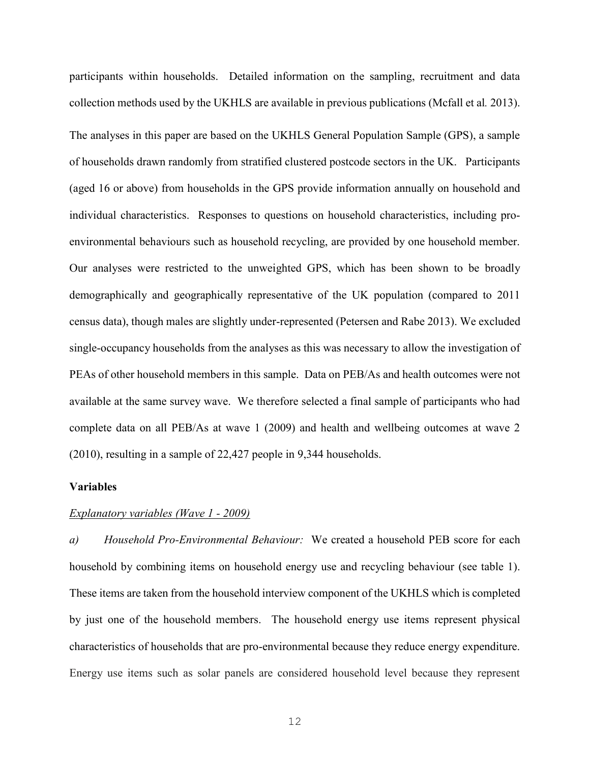participants within households. Detailed information on the sampling, recruitment and data collection methods used by the UKHLS are available in previous publications (Mcfall et al*.* 2013). The analyses in this paper are based on the UKHLS General Population Sample (GPS), a sample of households drawn randomly from stratified clustered postcode sectors in the UK. Participants (aged 16 or above) from households in the GPS provide information annually on household and individual characteristics. Responses to questions on household characteristics, including proenvironmental behaviours such as household recycling, are provided by one household member. Our analyses were restricted to the unweighted GPS, which has been shown to be broadly demographically and geographically representative of the UK population (compared to 2011 census data), though males are slightly under-represented (Petersen and Rabe 2013). We excluded single-occupancy households from the analyses as this was necessary to allow the investigation of PEAs of other household members in this sample. Data on PEB/As and health outcomes were not available at the same survey wave. We therefore selected a final sample of participants who had complete data on all PEB/As at wave 1 (2009) and health and wellbeing outcomes at wave 2 (2010), resulting in a sample of 22,427 people in 9,344 households.

## **Variables**

#### *Explanatory variables (Wave 1 - 2009)*

*a) Household Pro-Environmental Behaviour:* We created a household PEB score for each household by combining items on household energy use and recycling behaviour (see table 1). These items are taken from the household interview component of the UKHLS which is completed by just one of the household members. The household energy use items represent physical characteristics of households that are pro-environmental because they reduce energy expenditure. Energy use items such as solar panels are considered household level because they represent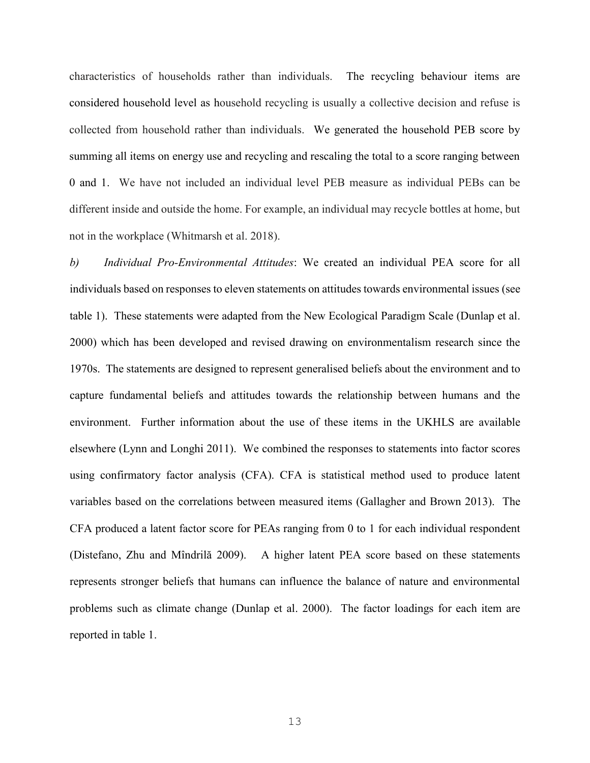characteristics of households rather than individuals. The recycling behaviour items are considered household level as household recycling is usually a collective decision and refuse is collected from household rather than individuals. We generated the household PEB score by summing all items on energy use and recycling and rescaling the total to a score ranging between 0 and 1. We have not included an individual level PEB measure as individual PEBs can be different inside and outside the home. For example, an individual may recycle bottles at home, but not in the workplace (Whitmarsh et al. 2018).

*b) Individual Pro-Environmental Attitudes*: We created an individual PEA score for all individuals based on responses to eleven statements on attitudes towards environmental issues (see table 1). These statements were adapted from the New Ecological Paradigm Scale (Dunlap et al. 2000) which has been developed and revised drawing on environmentalism research since the 1970s. The statements are designed to represent generalised beliefs about the environment and to capture fundamental beliefs and attitudes towards the relationship between humans and the environment. Further information about the use of these items in the UKHLS are available elsewhere (Lynn and Longhi 2011). We combined the responses to statements into factor scores using confirmatory factor analysis (CFA). CFA is statistical method used to produce latent variables based on the correlations between measured items (Gallagher and Brown 2013). The CFA produced a latent factor score for PEAs ranging from 0 to 1 for each individual respondent (Distefano, Zhu and Mîndrilă 2009). A higher latent PEA score based on these statements represents stronger beliefs that humans can influence the balance of nature and environmental problems such as climate change (Dunlap et al. 2000). The factor loadings for each item are reported in table 1.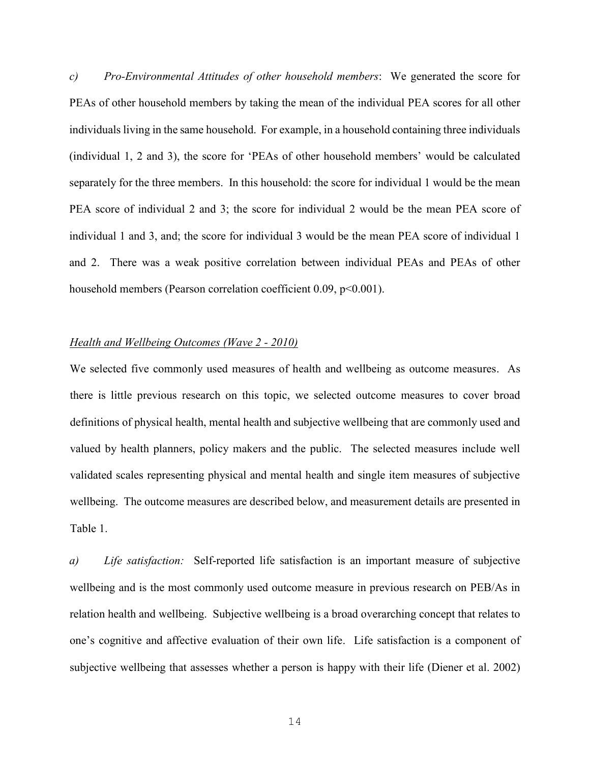*c) Pro-Environmental Attitudes of other household members*: We generated the score for PEAs of other household members by taking the mean of the individual PEA scores for all other individuals living in the same household. For example, in a household containing three individuals (individual 1, 2 and 3), the score for 'PEAs of other household members' would be calculated separately for the three members. In this household: the score for individual 1 would be the mean PEA score of individual 2 and 3; the score for individual 2 would be the mean PEA score of individual 1 and 3, and; the score for individual 3 would be the mean PEA score of individual 1 and 2. There was a weak positive correlation between individual PEAs and PEAs of other household members (Pearson correlation coefficient 0.09, p<0.001).

## *Health and Wellbeing Outcomes (Wave 2 - 2010)*

We selected five commonly used measures of health and wellbeing as outcome measures. As there is little previous research on this topic, we selected outcome measures to cover broad definitions of physical health, mental health and subjective wellbeing that are commonly used and valued by health planners, policy makers and the public. The selected measures include well validated scales representing physical and mental health and single item measures of subjective wellbeing. The outcome measures are described below, and measurement details are presented in Table 1.

*a) Life satisfaction:* Self-reported life satisfaction is an important measure of subjective wellbeing and is the most commonly used outcome measure in previous research on PEB/As in relation health and wellbeing. Subjective wellbeing is a broad overarching concept that relates to one's cognitive and affective evaluation of their own life. Life satisfaction is a component of subjective wellbeing that assesses whether a person is happy with their life (Diener et al. 2002)

14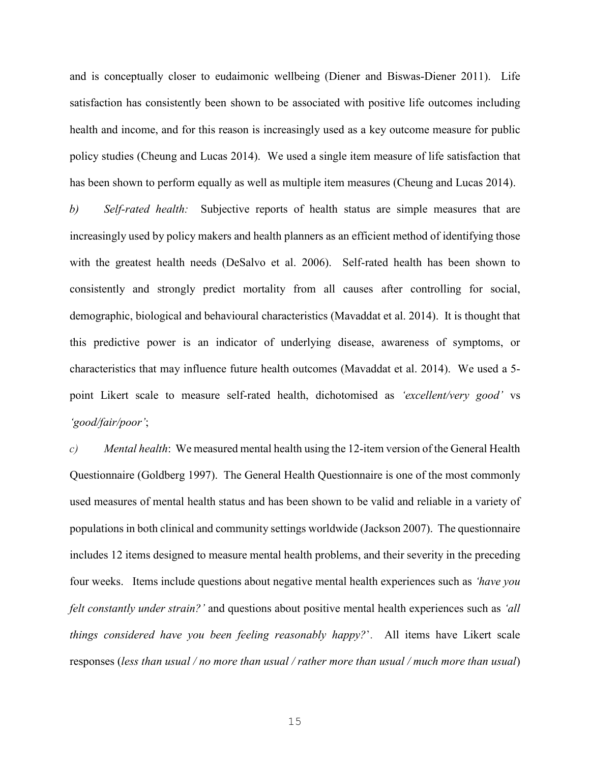and is conceptually closer to eudaimonic wellbeing (Diener and Biswas-Diener 2011). Life satisfaction has consistently been shown to be associated with positive life outcomes including health and income, and for this reason is increasingly used as a key outcome measure for public policy studies (Cheung and Lucas 2014). We used a single item measure of life satisfaction that has been shown to perform equally as well as multiple item measures (Cheung and Lucas 2014).

*b) Self-rated health:* Subjective reports of health status are simple measures that are increasingly used by policy makers and health planners as an efficient method of identifying those with the greatest health needs (DeSalvo et al. 2006). Self-rated health has been shown to consistently and strongly predict mortality from all causes after controlling for social, demographic, biological and behavioural characteristics (Mavaddat et al. 2014). It is thought that this predictive power is an indicator of underlying disease, awareness of symptoms, or characteristics that may influence future health outcomes (Mavaddat et al. 2014). We used a 5 point Likert scale to measure self-rated health, dichotomised as *'excellent/very good'* vs *'good/fair/poor'*;

*c) Mental health*: We measured mental health using the 12-item version of the General Health Questionnaire (Goldberg 1997). The General Health Questionnaire is one of the most commonly used measures of mental health status and has been shown to be valid and reliable in a variety of populations in both clinical and community settings worldwide (Jackson 2007). The questionnaire includes 12 items designed to measure mental health problems, and their severity in the preceding four weeks. Items include questions about negative mental health experiences such as *'have you felt constantly under strain?'* and questions about positive mental health experiences such as *'all things considered have you been feeling reasonably happy?*'. All items have Likert scale responses (*less than usual / no more than usual / rather more than usual / much more than usual*)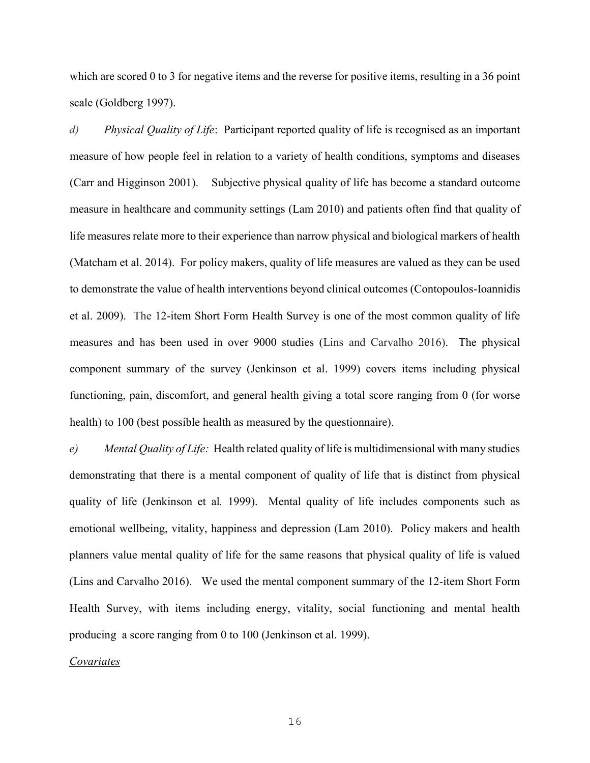which are scored 0 to 3 for negative items and the reverse for positive items, resulting in a 36 point scale (Goldberg 1997).

*d) Physical Quality of Life*: Participant reported quality of life is recognised as an important measure of how people feel in relation to a variety of health conditions, symptoms and diseases (Carr and Higginson 2001). Subjective physical quality of life has become a standard outcome measure in healthcare and community settings (Lam 2010) and patients often find that quality of life measures relate more to their experience than narrow physical and biological markers of health (Matcham et al. 2014). For policy makers, quality of life measures are valued as they can be used to demonstrate the value of health interventions beyond clinical outcomes (Contopoulos-Ioannidis et al. 2009). The 12-item Short Form Health Survey is one of the most common quality of life measures and has been used in over 9000 studies (Lins and Carvalho 2016). The physical component summary of the survey (Jenkinson et al. 1999) covers items including physical functioning, pain, discomfort, and general health giving a total score ranging from 0 (for worse health) to 100 (best possible health as measured by the questionnaire).

*e) Mental Quality of Life:* Health related quality of life is multidimensional with many studies demonstrating that there is a mental component of quality of life that is distinct from physical quality of life (Jenkinson et al*.* 1999). Mental quality of life includes components such as emotional wellbeing, vitality, happiness and depression (Lam 2010). Policy makers and health planners value mental quality of life for the same reasons that physical quality of life is valued (Lins and Carvalho 2016). We used the mental component summary of the 12-item Short Form Health Survey, with items including energy, vitality, social functioning and mental health producing a score ranging from 0 to 100 (Jenkinson et al. 1999).

*Covariates*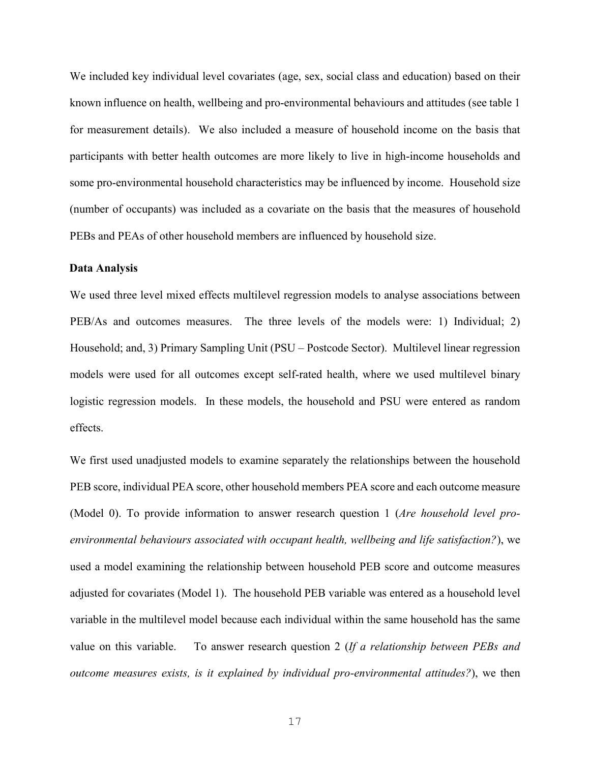We included key individual level covariates (age, sex, social class and education) based on their known influence on health, wellbeing and pro-environmental behaviours and attitudes (see table 1 for measurement details). We also included a measure of household income on the basis that participants with better health outcomes are more likely to live in high-income households and some pro-environmental household characteristics may be influenced by income. Household size (number of occupants) was included as a covariate on the basis that the measures of household PEBs and PEAs of other household members are influenced by household size.

#### **Data Analysis**

We used three level mixed effects multilevel regression models to analyse associations between PEB/As and outcomes measures. The three levels of the models were: 1) Individual; 2) Household; and, 3) Primary Sampling Unit (PSU – Postcode Sector). Multilevel linear regression models were used for all outcomes except self-rated health, where we used multilevel binary logistic regression models. In these models, the household and PSU were entered as random effects.

We first used unadjusted models to examine separately the relationships between the household PEB score, individual PEA score, other household members PEA score and each outcome measure (Model 0). To provide information to answer research question 1 (*Are household level proenvironmental behaviours associated with occupant health, wellbeing and life satisfaction?*), we used a model examining the relationship between household PEB score and outcome measures adjusted for covariates (Model 1). The household PEB variable was entered as a household level variable in the multilevel model because each individual within the same household has the same value on this variable. To answer research question 2 (*If a relationship between PEBs and outcome measures exists, is it explained by individual pro-environmental attitudes?*), we then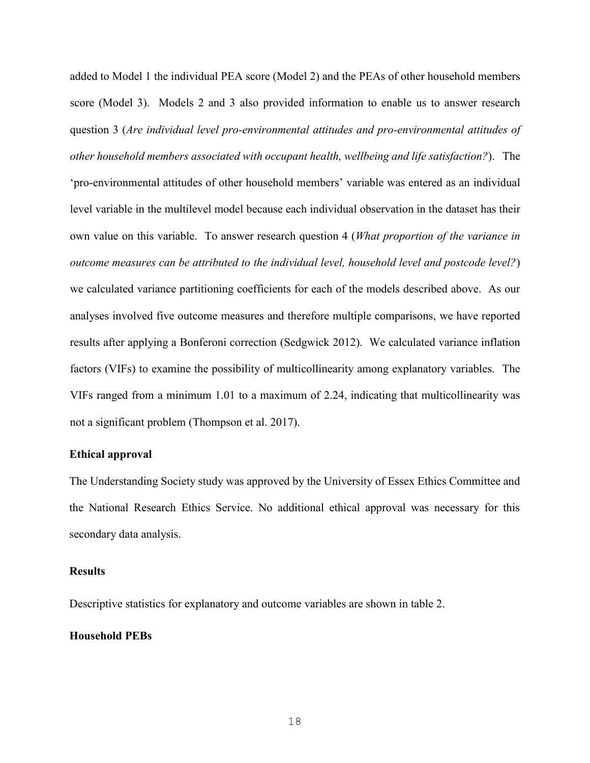added to Model 1 the individual PEA score (Model 2) and the PEAs of other household members score (Model 3). Models 2 and 3 also provided information to enable us to answer research question 3 (*Are individual level pro-environmental attitudes and pro-environmental attitudes of other household members associated with occupant health, wellbeing and life satisfaction?*). The 'pro-environmental attitudes of other household members' variable was entered as an individual level variable in the multilevel model because each individual observation in the dataset has their own value on this variable. To answer research question 4 (*What proportion of the variance in outcome measures can be attributed to the individual level, household level and postcode level?*) we calculated variance partitioning coefficients for each of the models described above. As our analyses involved five outcome measures and therefore multiple comparisons, we have reported results after applying a Bonferoni correction (Sedgwick 2012). We calculated variance inflation factors (VIFs) to examine the possibility of multicollinearity among explanatory variables. The VIFs ranged from a minimum 1.01 to a maximum of 2.24, indicating that multicollinearity was not a significant problem (Thompson et al. 2017).

#### **Ethical approval**

The Understanding Society study was approved by the University of Essex Ethics Committee and the National Research Ethics Service. No additional ethical approval was necessary for this secondary data analysis.

#### **Results**

Descriptive statistics for explanatory and outcome variables are shown in table 2.

# **Household PEBs**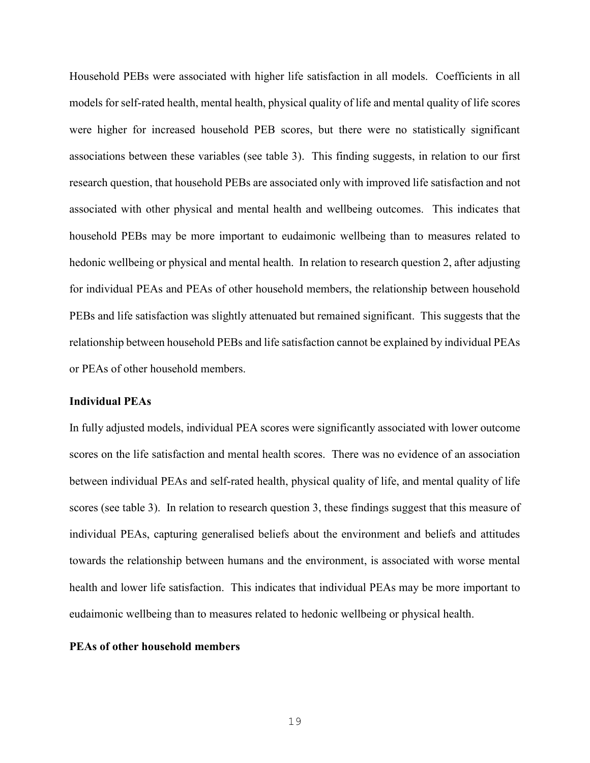Household PEBs were associated with higher life satisfaction in all models. Coefficients in all models for self-rated health, mental health, physical quality of life and mental quality of life scores were higher for increased household PEB scores, but there were no statistically significant associations between these variables (see table 3). This finding suggests, in relation to our first research question, that household PEBs are associated only with improved life satisfaction and not associated with other physical and mental health and wellbeing outcomes. This indicates that household PEBs may be more important to eudaimonic wellbeing than to measures related to hedonic wellbeing or physical and mental health. In relation to research question 2, after adjusting for individual PEAs and PEAs of other household members, the relationship between household PEBs and life satisfaction was slightly attenuated but remained significant. This suggests that the relationship between household PEBs and life satisfaction cannot be explained by individual PEAs or PEAs of other household members.

## **Individual PEAs**

In fully adjusted models, individual PEA scores were significantly associated with lower outcome scores on the life satisfaction and mental health scores. There was no evidence of an association between individual PEAs and self-rated health, physical quality of life, and mental quality of life scores (see table 3). In relation to research question 3, these findings suggest that this measure of individual PEAs, capturing generalised beliefs about the environment and beliefs and attitudes towards the relationship between humans and the environment, is associated with worse mental health and lower life satisfaction. This indicates that individual PEAs may be more important to eudaimonic wellbeing than to measures related to hedonic wellbeing or physical health.

## **PEAs of other household members**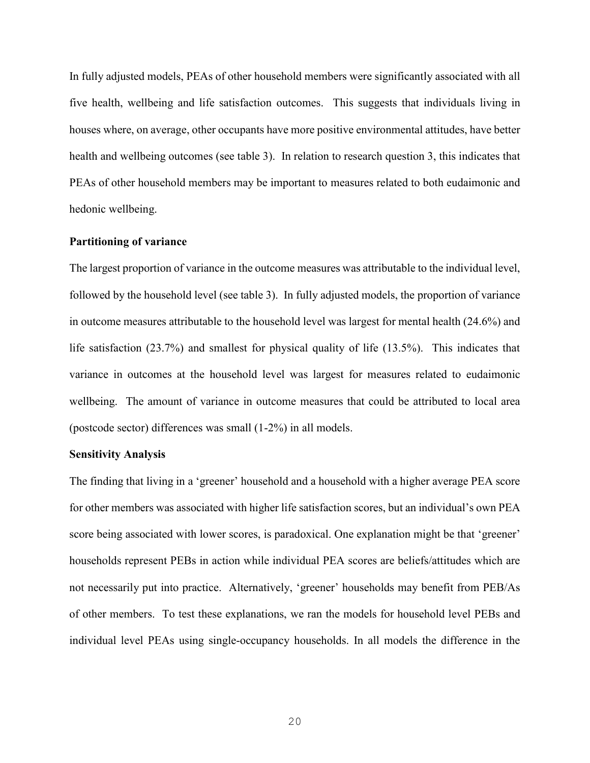In fully adjusted models, PEAs of other household members were significantly associated with all five health, wellbeing and life satisfaction outcomes. This suggests that individuals living in houses where, on average, other occupants have more positive environmental attitudes, have better health and wellbeing outcomes (see table 3). In relation to research question 3, this indicates that PEAs of other household members may be important to measures related to both eudaimonic and hedonic wellbeing.

#### **Partitioning of variance**

The largest proportion of variance in the outcome measures was attributable to the individual level, followed by the household level (see table 3). In fully adjusted models, the proportion of variance in outcome measures attributable to the household level was largest for mental health (24.6%) and life satisfaction (23.7%) and smallest for physical quality of life (13.5%). This indicates that variance in outcomes at the household level was largest for measures related to eudaimonic wellbeing. The amount of variance in outcome measures that could be attributed to local area (postcode sector) differences was small (1-2%) in all models.

#### **Sensitivity Analysis**

The finding that living in a 'greener' household and a household with a higher average PEA score for other members was associated with higher life satisfaction scores, but an individual's own PEA score being associated with lower scores, is paradoxical. One explanation might be that 'greener' households represent PEBs in action while individual PEA scores are beliefs/attitudes which are not necessarily put into practice. Alternatively, 'greener' households may benefit from PEB/As of other members. To test these explanations, we ran the models for household level PEBs and individual level PEAs using single-occupancy households. In all models the difference in the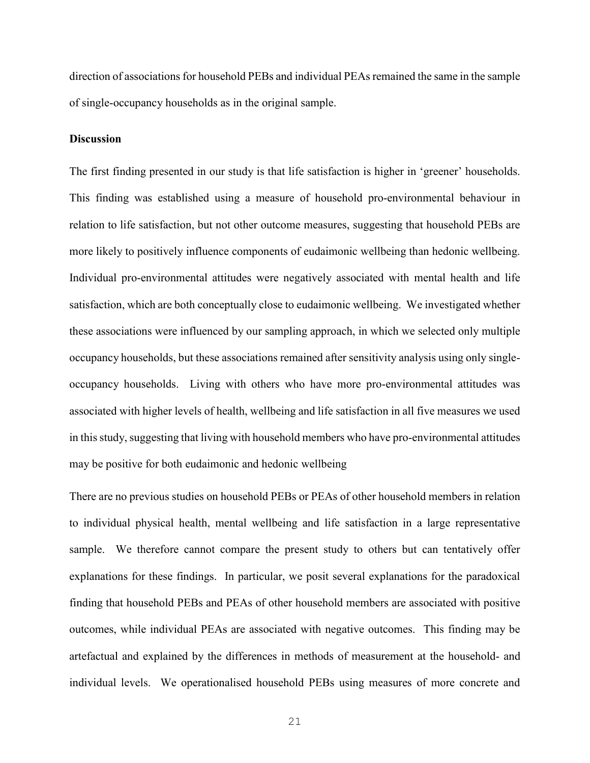direction of associations for household PEBs and individual PEAs remained the same in the sample of single-occupancy households as in the original sample.

## **Discussion**

The first finding presented in our study is that life satisfaction is higher in 'greener' households. This finding was established using a measure of household pro-environmental behaviour in relation to life satisfaction, but not other outcome measures, suggesting that household PEBs are more likely to positively influence components of eudaimonic wellbeing than hedonic wellbeing. Individual pro-environmental attitudes were negatively associated with mental health and life satisfaction, which are both conceptually close to eudaimonic wellbeing. We investigated whether these associations were influenced by our sampling approach, in which we selected only multiple occupancy households, but these associations remained after sensitivity analysis using only singleoccupancy households. Living with others who have more pro-environmental attitudes was associated with higher levels of health, wellbeing and life satisfaction in all five measures we used in this study, suggesting that living with household members who have pro-environmental attitudes may be positive for both eudaimonic and hedonic wellbeing

There are no previous studies on household PEBs or PEAs of other household members in relation to individual physical health, mental wellbeing and life satisfaction in a large representative sample. We therefore cannot compare the present study to others but can tentatively offer explanations for these findings. In particular, we posit several explanations for the paradoxical finding that household PEBs and PEAs of other household members are associated with positive outcomes, while individual PEAs are associated with negative outcomes. This finding may be artefactual and explained by the differences in methods of measurement at the household- and individual levels. We operationalised household PEBs using measures of more concrete and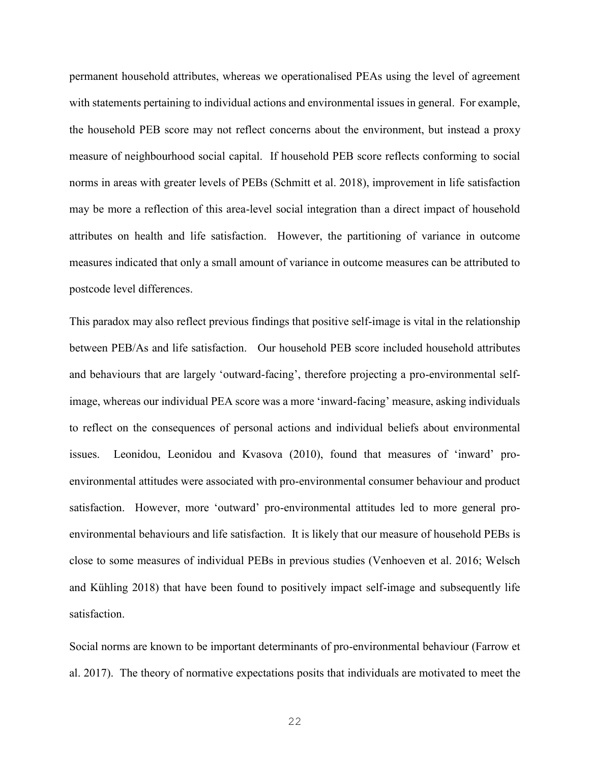permanent household attributes, whereas we operationalised PEAs using the level of agreement with statements pertaining to individual actions and environmental issues in general. For example, the household PEB score may not reflect concerns about the environment, but instead a proxy measure of neighbourhood social capital. If household PEB score reflects conforming to social norms in areas with greater levels of PEBs (Schmitt et al. 2018), improvement in life satisfaction may be more a reflection of this area-level social integration than a direct impact of household attributes on health and life satisfaction. However, the partitioning of variance in outcome measures indicated that only a small amount of variance in outcome measures can be attributed to postcode level differences.

This paradox may also reflect previous findings that positive self-image is vital in the relationship between PEB/As and life satisfaction. Our household PEB score included household attributes and behaviours that are largely 'outward-facing', therefore projecting a pro-environmental selfimage, whereas our individual PEA score was a more 'inward-facing' measure, asking individuals to reflect on the consequences of personal actions and individual beliefs about environmental issues. Leonidou, Leonidou and Kvasova (2010), found that measures of 'inward' proenvironmental attitudes were associated with pro-environmental consumer behaviour and product satisfaction. However, more 'outward' pro-environmental attitudes led to more general proenvironmental behaviours and life satisfaction. It is likely that our measure of household PEBs is close to some measures of individual PEBs in previous studies (Venhoeven et al. 2016; Welsch and Kühling 2018) that have been found to positively impact self-image and subsequently life satisfaction.

Social norms are known to be important determinants of pro-environmental behaviour (Farrow et al. 2017). The theory of normative expectations posits that individuals are motivated to meet the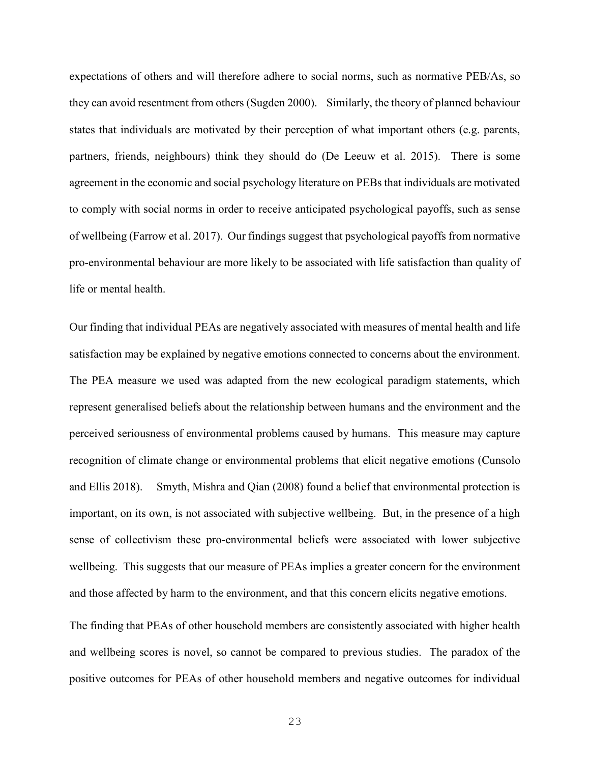expectations of others and will therefore adhere to social norms, such as normative PEB/As, so they can avoid resentment from others (Sugden 2000). Similarly, the theory of planned behaviour states that individuals are motivated by their perception of what important others (e.g. parents, partners, friends, neighbours) think they should do (De Leeuw et al. 2015). There is some agreement in the economic and social psychology literature on PEBs that individuals are motivated to comply with social norms in order to receive anticipated psychological payoffs, such as sense of wellbeing (Farrow et al. 2017). Our findings suggest that psychological payoffs from normative pro-environmental behaviour are more likely to be associated with life satisfaction than quality of life or mental health.

Our finding that individual PEAs are negatively associated with measures of mental health and life satisfaction may be explained by negative emotions connected to concerns about the environment. The PEA measure we used was adapted from the new ecological paradigm statements, which represent generalised beliefs about the relationship between humans and the environment and the perceived seriousness of environmental problems caused by humans. This measure may capture recognition of climate change or environmental problems that elicit negative emotions (Cunsolo and Ellis 2018). Smyth, Mishra and Qian (2008) found a belief that environmental protection is important, on its own, is not associated with subjective wellbeing. But, in the presence of a high sense of collectivism these pro-environmental beliefs were associated with lower subjective wellbeing. This suggests that our measure of PEAs implies a greater concern for the environment and those affected by harm to the environment, and that this concern elicits negative emotions.

The finding that PEAs of other household members are consistently associated with higher health and wellbeing scores is novel, so cannot be compared to previous studies. The paradox of the positive outcomes for PEAs of other household members and negative outcomes for individual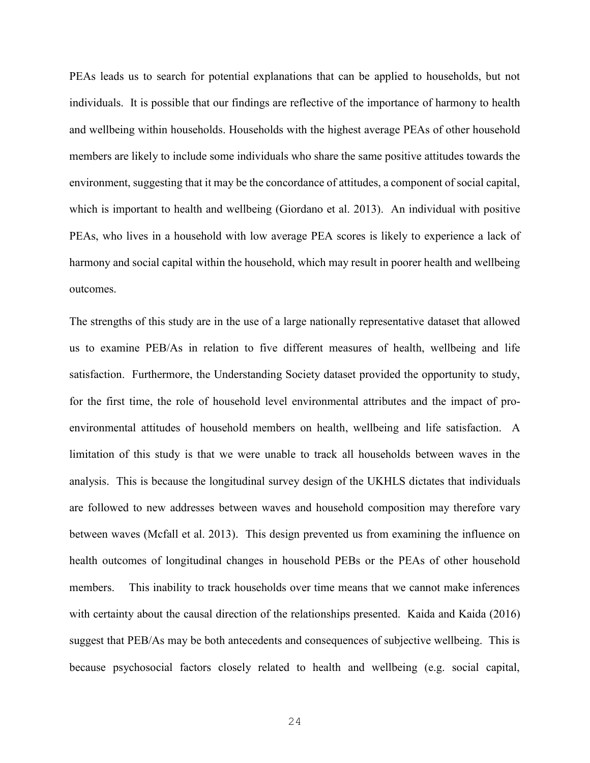PEAs leads us to search for potential explanations that can be applied to households, but not individuals. It is possible that our findings are reflective of the importance of harmony to health and wellbeing within households. Households with the highest average PEAs of other household members are likely to include some individuals who share the same positive attitudes towards the environment, suggesting that it may be the concordance of attitudes, a component of social capital, which is important to health and wellbeing (Giordano et al. 2013). An individual with positive PEAs, who lives in a household with low average PEA scores is likely to experience a lack of harmony and social capital within the household, which may result in poorer health and wellbeing outcomes.

The strengths of this study are in the use of a large nationally representative dataset that allowed us to examine PEB/As in relation to five different measures of health, wellbeing and life satisfaction. Furthermore, the Understanding Society dataset provided the opportunity to study, for the first time, the role of household level environmental attributes and the impact of proenvironmental attitudes of household members on health, wellbeing and life satisfaction. A limitation of this study is that we were unable to track all households between waves in the analysis. This is because the longitudinal survey design of the UKHLS dictates that individuals are followed to new addresses between waves and household composition may therefore vary between waves (Mcfall et al. 2013). This design prevented us from examining the influence on health outcomes of longitudinal changes in household PEBs or the PEAs of other household members. This inability to track households over time means that we cannot make inferences with certainty about the causal direction of the relationships presented. Kaida and Kaida (2016) suggest that PEB/As may be both antecedents and consequences of subjective wellbeing. This is because psychosocial factors closely related to health and wellbeing (e.g. social capital,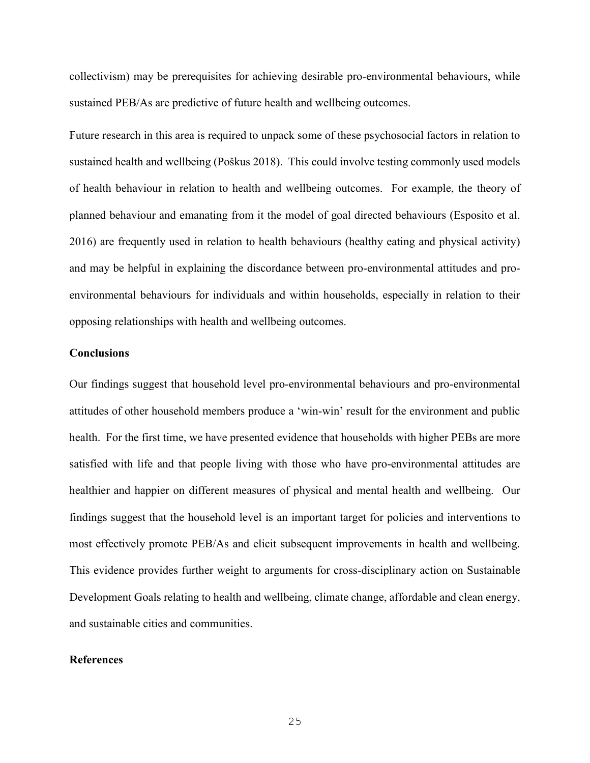collectivism) may be prerequisites for achieving desirable pro-environmental behaviours, while sustained PEB/As are predictive of future health and wellbeing outcomes.

Future research in this area is required to unpack some of these psychosocial factors in relation to sustained health and wellbeing (Poškus 2018). This could involve testing commonly used models of health behaviour in relation to health and wellbeing outcomes. For example, the theory of planned behaviour and emanating from it the model of goal directed behaviours (Esposito et al. 2016) are frequently used in relation to health behaviours (healthy eating and physical activity) and may be helpful in explaining the discordance between pro-environmental attitudes and proenvironmental behaviours for individuals and within households, especially in relation to their opposing relationships with health and wellbeing outcomes.

#### **Conclusions**

Our findings suggest that household level pro-environmental behaviours and pro-environmental attitudes of other household members produce a 'win-win' result for the environment and public health. For the first time, we have presented evidence that households with higher PEBs are more satisfied with life and that people living with those who have pro-environmental attitudes are healthier and happier on different measures of physical and mental health and wellbeing. Our findings suggest that the household level is an important target for policies and interventions to most effectively promote PEB/As and elicit subsequent improvements in health and wellbeing. This evidence provides further weight to arguments for cross-disciplinary action on Sustainable Development Goals relating to health and wellbeing, climate change, affordable and clean energy, and sustainable cities and communities.

## **References**

25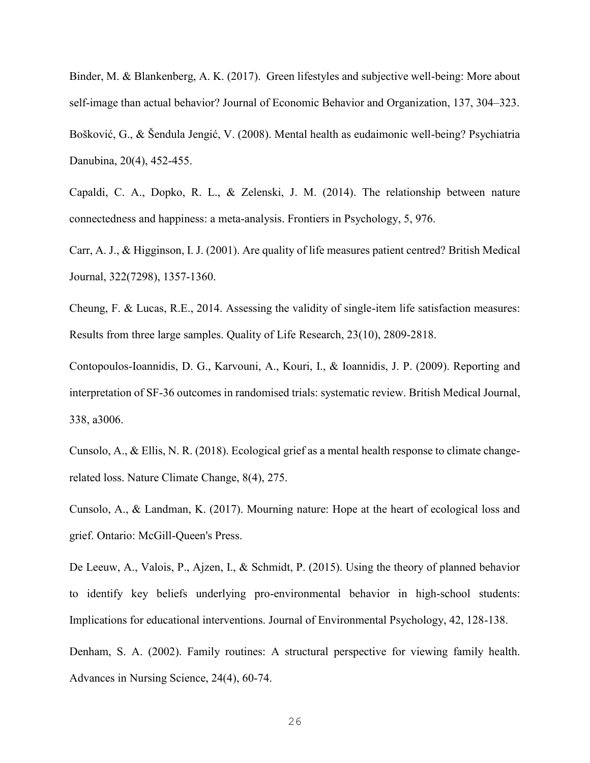Binder, M. & Blankenberg, A. K. (2017). Green lifestyles and subjective well-being: More about self-image than actual behavior? Journal of Economic Behavior and Organization, 137, 304–323. Bošković, G., & Šendula Jengić, V. (2008). Mental health as eudaimonic well-being? Psychiatria Danubina, 20(4), 452-455.

Capaldi, C. A., Dopko, R. L., & Zelenski, J. M. (2014). The relationship between nature connectedness and happiness: a meta-analysis. Frontiers in Psychology, 5, 976.

Carr, A. J., & Higginson, I. J. (2001). Are quality of life measures patient centred? British Medical Journal, 322(7298), 1357-1360.

Cheung, F. & Lucas, R.E., 2014. Assessing the validity of single-item life satisfaction measures: Results from three large samples. Quality of Life Research, 23(10), 2809-2818.

Contopoulos-Ioannidis, D. G., Karvouni, A., Kouri, I., & Ioannidis, J. P. (2009). Reporting and interpretation of SF-36 outcomes in randomised trials: systematic review. British Medical Journal, 338, a3006.

Cunsolo, A., & Ellis, N. R. (2018). Ecological grief as a mental health response to climate changerelated loss. Nature Climate Change, 8(4), 275.

Cunsolo, A., & Landman, K. (2017). Mourning nature: Hope at the heart of ecological loss and grief. Ontario: McGill-Queen's Press.

De Leeuw, A., Valois, P., Ajzen, I., & Schmidt, P. (2015). Using the theory of planned behavior to identify key beliefs underlying pro-environmental behavior in high-school students: Implications for educational interventions. Journal of Environmental Psychology, 42, 128-138.

Denham, S. A. (2002). Family routines: A structural perspective for viewing family health. Advances in Nursing Science, 24(4), 60-74.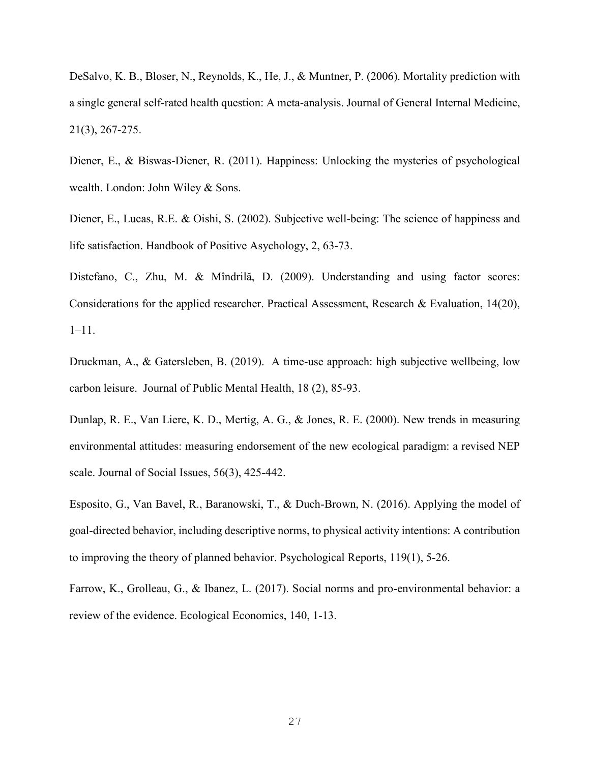DeSalvo, K. B., Bloser, N., Reynolds, K., He, J., & Muntner, P. (2006). Mortality prediction with a single general self‐rated health question: A meta‐analysis. Journal of General Internal Medicine, 21(3), 267-275.

Diener, E., & Biswas-Diener, R. (2011). Happiness: Unlocking the mysteries of psychological wealth. London: John Wiley & Sons.

Diener, E., Lucas, R.E. & Oishi, S. (2002). Subjective well-being: The science of happiness and life satisfaction. Handbook of Positive Asychology, 2, 63-73.

Distefano, C., Zhu, M. & Mîndrilă, D. (2009). Understanding and using factor scores: Considerations for the applied researcher. Practical Assessment, Research & Evaluation, 14(20), 1–11.

Druckman, A., & Gatersleben, B. (2019). A time-use approach: high subjective wellbeing, low carbon leisure. Journal of Public Mental Health, 18 (2), 85-93.

Dunlap, R. E., Van Liere, K. D., Mertig, A. G., & Jones, R. E. (2000). New trends in measuring environmental attitudes: measuring endorsement of the new ecological paradigm: a revised NEP scale. Journal of Social Issues, 56(3), 425-442.

Esposito, G., Van Bavel, R., Baranowski, T., & Duch-Brown, N. (2016). Applying the model of goal-directed behavior, including descriptive norms, to physical activity intentions: A contribution to improving the theory of planned behavior. Psychological Reports, 119(1), 5-26.

Farrow, K., Grolleau, G., & Ibanez, L. (2017). Social norms and pro-environmental behavior: a review of the evidence. Ecological Economics, 140, 1-13.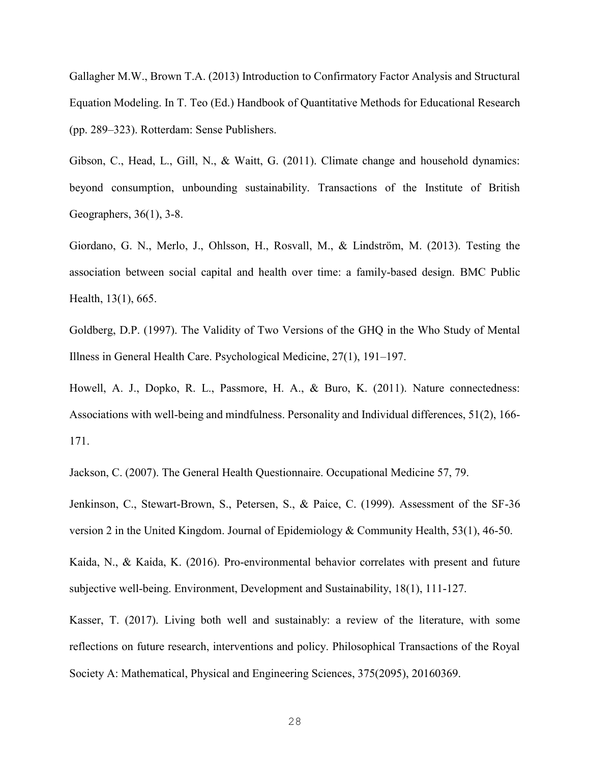Gallagher M.W., Brown T.A. (2013) Introduction to Confirmatory Factor Analysis and Structural Equation Modeling. In T. Teo (Ed.) Handbook of Quantitative Methods for Educational Research (pp. 289–323). Rotterdam: Sense Publishers.

Gibson, C., Head, L., Gill, N., & Waitt, G. (2011). Climate change and household dynamics: beyond consumption, unbounding sustainability. Transactions of the Institute of British Geographers, 36(1), 3-8.

Giordano, G. N., Merlo, J., Ohlsson, H., Rosvall, M., & Lindström, M. (2013). Testing the association between social capital and health over time: a family-based design. BMC Public Health, 13(1), 665.

Goldberg, D.P. (1997). The Validity of Two Versions of the GHQ in the Who Study of Mental Illness in General Health Care. Psychological Medicine, 27(1), 191–197.

Howell, A. J., Dopko, R. L., Passmore, H. A., & Buro, K. (2011). Nature connectedness: Associations with well-being and mindfulness. Personality and Individual differences, 51(2), 166- 171.

Jackson, C. (2007). The General Health Questionnaire. Occupational Medicine 57, 79.

Jenkinson, C., Stewart-Brown, S., Petersen, S., & Paice, C. (1999). Assessment of the SF-36 version 2 in the United Kingdom. Journal of Epidemiology & Community Health, 53(1), 46-50.

Kaida, N., & Kaida, K. (2016). Pro-environmental behavior correlates with present and future subjective well-being. Environment, Development and Sustainability, 18(1), 111-127.

Kasser, T. (2017). Living both well and sustainably: a review of the literature, with some reflections on future research, interventions and policy. Philosophical Transactions of the Royal Society A: Mathematical, Physical and Engineering Sciences, 375(2095), 20160369.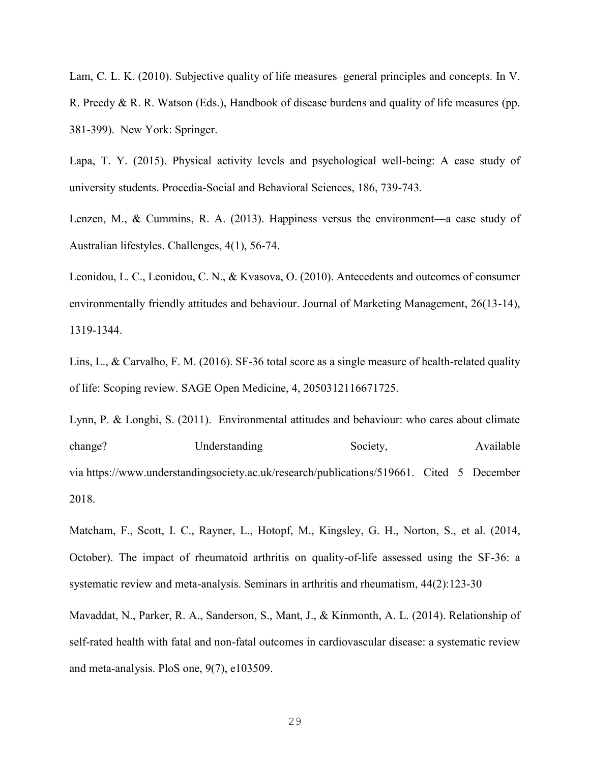Lam, C. L. K. (2010). Subjective quality of life measures–general principles and concepts. In V. R. Preedy & R. R. Watson (Eds.), Handbook of disease burdens and quality of life measures (pp. 381-399). New York: Springer.

Lapa, T. Y. (2015). Physical activity levels and psychological well-being: A case study of university students. Procedia-Social and Behavioral Sciences, 186, 739-743.

Lenzen, M., & Cummins, R. A. (2013). Happiness versus the environment—a case study of Australian lifestyles. Challenges, 4(1), 56-74.

Leonidou, L. C., Leonidou, C. N., & Kvasova, O. (2010). Antecedents and outcomes of consumer environmentally friendly attitudes and behaviour. Journal of Marketing Management, 26(13-14), 1319-1344.

Lins, L., & Carvalho, F. M. (2016). SF-36 total score as a single measure of health-related quality of life: Scoping review. SAGE Open Medicine, 4, 2050312116671725.

Lynn, P. & Longhi, S. (2011). Environmental attitudes and behaviour: who cares about climate change? Understanding Society, Available via [https://www.understandingsociety.ac.uk/research/publications/519661.](https://www.understandingsociety.ac.uk/research/publications/519661) Cited 5 December 2018.

Matcham, F., Scott, I. C., Rayner, L., Hotopf, M., Kingsley, G. H., Norton, S., et al. (2014, October). The impact of rheumatoid arthritis on quality-of-life assessed using the SF-36: a systematic review and meta-analysis. Seminars in arthritis and rheumatism, 44(2):123-30

Mavaddat, N., Parker, R. A., Sanderson, S., Mant, J., & Kinmonth, A. L. (2014). Relationship of self-rated health with fatal and non-fatal outcomes in cardiovascular disease: a systematic review and meta-analysis. PloS one, 9(7), e103509.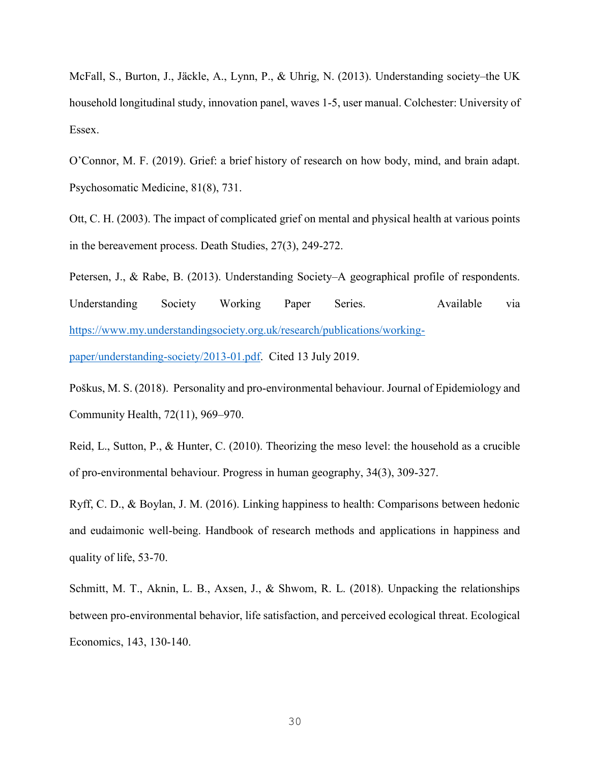McFall, S., Burton, J., Jäckle, A., Lynn, P., & Uhrig, N. (2013). Understanding society–the UK household longitudinal study, innovation panel, waves 1-5, user manual. Colchester: University of Essex.

O'Connor, M. F. (2019). Grief: a brief history of research on how body, mind, and brain adapt. Psychosomatic Medicine, 81(8), 731.

Ott, C. H. (2003). The impact of complicated grief on mental and physical health at various points in the bereavement process. Death Studies, 27(3), 249-272.

Petersen, J., & Rabe, B. (2013). Understanding Society–A geographical profile of respondents. Understanding Society Working Paper Series. Available via [https://www.my.understandingsociety.org.uk/research/publications/working-](https://www.my.understandingsociety.org.uk/research/publications/working-paper/understanding-society/2013-01.pdf)

[paper/understanding-society/2013-01.pdf.](https://www.my.understandingsociety.org.uk/research/publications/working-paper/understanding-society/2013-01.pdf) Cited 13 July 2019.

Poškus, M. S. (2018). Personality and pro-environmental behaviour. Journal of Epidemiology and Community Health, 72(11), 969–970.

Reid, L., Sutton, P., & Hunter, C. (2010). Theorizing the meso level: the household as a crucible of pro-environmental behaviour. Progress in human geography, 34(3), 309-327.

Ryff, C. D., & Boylan, J. M. (2016). Linking happiness to health: Comparisons between hedonic and eudaimonic well-being. Handbook of research methods and applications in happiness and quality of life, 53-70.

Schmitt, M. T., Aknin, L. B., Axsen, J., & Shwom, R. L. (2018). Unpacking the relationships between pro-environmental behavior, life satisfaction, and perceived ecological threat. Ecological Economics, 143, 130-140.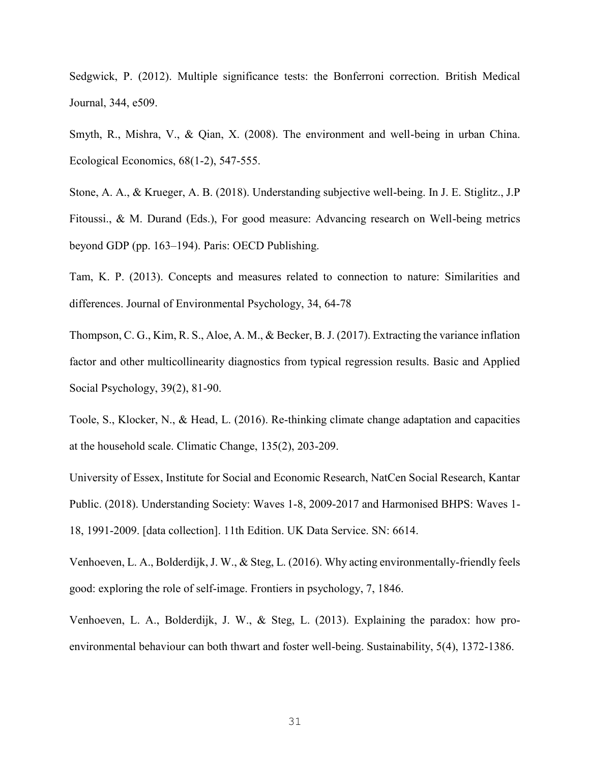Sedgwick, P. (2012). Multiple significance tests: the Bonferroni correction. British Medical Journal, 344, e509.

Smyth, R., Mishra, V., & Qian, X. (2008). The environment and well-being in urban China. Ecological Economics, 68(1-2), 547-555.

Stone, A. A., & Krueger, A. B. (2018). Understanding subjective well-being. In J. E. Stiglitz., J.P Fitoussi., & M. Durand (Eds.), For good measure: Advancing research on Well-being metrics beyond GDP (pp. 163–194). Paris: OECD Publishing.

Tam, K. P. (2013). Concepts and measures related to connection to nature: Similarities and differences. Journal of Environmental Psychology, 34, 64-78

Thompson, C. G., Kim, R. S., Aloe, A. M., & Becker, B. J. (2017). Extracting the variance inflation factor and other multicollinearity diagnostics from typical regression results. Basic and Applied Social Psychology, 39(2), 81-90.

Toole, S., Klocker, N., & Head, L. (2016). Re-thinking climate change adaptation and capacities at the household scale. Climatic Change, 135(2), 203-209.

University of Essex, Institute for Social and Economic Research, NatCen Social Research, Kantar Public. (2018). Understanding Society: Waves 1-8, 2009-2017 and Harmonised BHPS: Waves 1- 18, 1991-2009. [data collection]. 11th Edition. UK Data Service. SN: 6614.

Venhoeven, L. A., Bolderdijk, J. W., & Steg, L. (2016). Why acting environmentally-friendly feels good: exploring the role of self-image. Frontiers in psychology, 7, 1846.

Venhoeven, L. A., Bolderdijk, J. W., & Steg, L. (2013). Explaining the paradox: how proenvironmental behaviour can both thwart and foster well-being. Sustainability, 5(4), 1372-1386.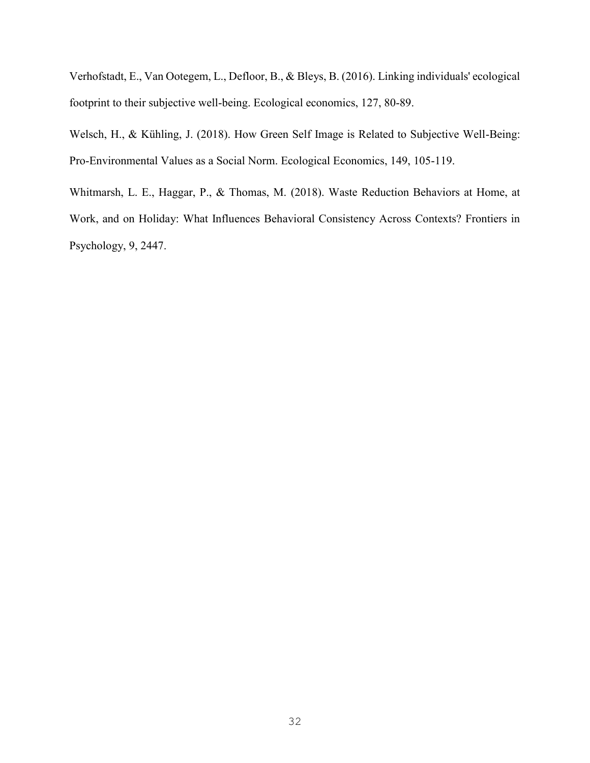Verhofstadt, E., Van Ootegem, L., Defloor, B., & Bleys, B. (2016). Linking individuals' ecological footprint to their subjective well-being. Ecological economics, 127, 80-89.

Welsch, H., & Kühling, J. (2018). How Green Self Image is Related to Subjective Well-Being: Pro-Environmental Values as a Social Norm. Ecological Economics, 149, 105-119.

Whitmarsh, L. E., Haggar, P., & Thomas, M. (2018). Waste Reduction Behaviors at Home, at Work, and on Holiday: What Influences Behavioral Consistency Across Contexts? Frontiers in Psychology, 9, 2447.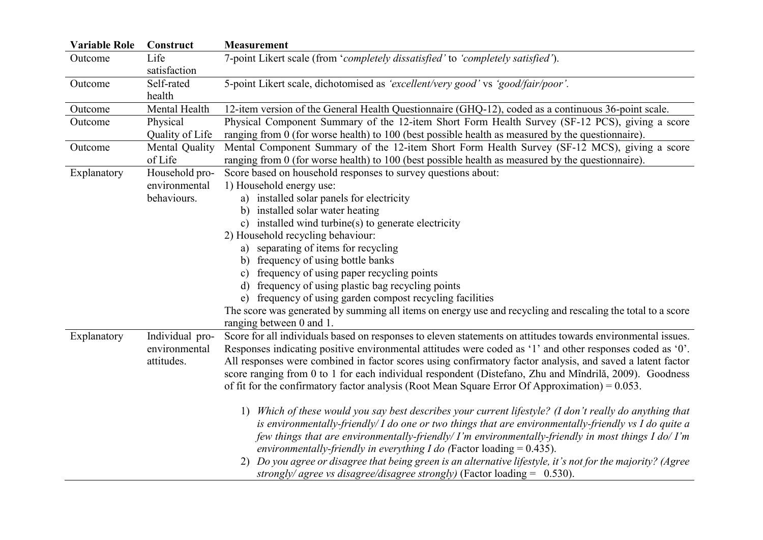| <b>Variable Role</b> | Construct                                      | <b>Measurement</b>                                                                                                                                                                                                                                                                                                                                                                                                                                                                                                                                                                                       |
|----------------------|------------------------------------------------|----------------------------------------------------------------------------------------------------------------------------------------------------------------------------------------------------------------------------------------------------------------------------------------------------------------------------------------------------------------------------------------------------------------------------------------------------------------------------------------------------------------------------------------------------------------------------------------------------------|
| Outcome              | Life<br>satisfaction                           | 7-point Likert scale (from 'completely dissatisfied' to 'completely satisfied').                                                                                                                                                                                                                                                                                                                                                                                                                                                                                                                         |
| Outcome              | Self-rated<br>health                           | 5-point Likert scale, dichotomised as 'excellent/very good' vs 'good/fair/poor'.                                                                                                                                                                                                                                                                                                                                                                                                                                                                                                                         |
| Outcome              | Mental Health                                  | 12-item version of the General Health Questionnaire (GHQ-12), coded as a continuous 36-point scale.                                                                                                                                                                                                                                                                                                                                                                                                                                                                                                      |
| Outcome              | Physical<br>Quality of Life                    | Physical Component Summary of the 12-item Short Form Health Survey (SF-12 PCS), giving a score<br>ranging from 0 (for worse health) to 100 (best possible health as measured by the questionnaire).                                                                                                                                                                                                                                                                                                                                                                                                      |
| Outcome              | Mental Quality<br>of Life                      | Mental Component Summary of the 12-item Short Form Health Survey (SF-12 MCS), giving a score<br>ranging from 0 (for worse health) to 100 (best possible health as measured by the questionnaire).                                                                                                                                                                                                                                                                                                                                                                                                        |
| Explanatory          | Household pro-                                 | Score based on household responses to survey questions about:                                                                                                                                                                                                                                                                                                                                                                                                                                                                                                                                            |
|                      | environmental                                  | 1) Household energy use:                                                                                                                                                                                                                                                                                                                                                                                                                                                                                                                                                                                 |
|                      | behaviours.                                    | a) installed solar panels for electricity                                                                                                                                                                                                                                                                                                                                                                                                                                                                                                                                                                |
|                      |                                                | b) installed solar water heating                                                                                                                                                                                                                                                                                                                                                                                                                                                                                                                                                                         |
|                      |                                                | c) installed wind turbine(s) to generate electricity                                                                                                                                                                                                                                                                                                                                                                                                                                                                                                                                                     |
|                      |                                                | 2) Household recycling behaviour:                                                                                                                                                                                                                                                                                                                                                                                                                                                                                                                                                                        |
|                      |                                                | a) separating of items for recycling                                                                                                                                                                                                                                                                                                                                                                                                                                                                                                                                                                     |
|                      |                                                | b) frequency of using bottle banks                                                                                                                                                                                                                                                                                                                                                                                                                                                                                                                                                                       |
|                      |                                                | c) frequency of using paper recycling points                                                                                                                                                                                                                                                                                                                                                                                                                                                                                                                                                             |
|                      |                                                | d) frequency of using plastic bag recycling points                                                                                                                                                                                                                                                                                                                                                                                                                                                                                                                                                       |
|                      |                                                | e) frequency of using garden compost recycling facilities                                                                                                                                                                                                                                                                                                                                                                                                                                                                                                                                                |
|                      |                                                | The score was generated by summing all items on energy use and recycling and rescaling the total to a score<br>ranging between 0 and 1.                                                                                                                                                                                                                                                                                                                                                                                                                                                                  |
| Explanatory          | Individual pro-<br>environmental<br>attitudes. | Score for all individuals based on responses to eleven statements on attitudes towards environmental issues.<br>Responses indicating positive environmental attitudes were coded as '1' and other responses coded as '0'.<br>All responses were combined in factor scores using confirmatory factor analysis, and saved a latent factor<br>score ranging from 0 to 1 for each individual respondent (Distefano, Zhu and Mîndrilă, 2009). Goodness<br>of fit for the confirmatory factor analysis (Root Mean Square Error Of Approximation) = $0.053$ .                                                   |
|                      |                                                | Which of these would you say best describes your current lifestyle? (I don't really do anything that<br>1)<br>is environmentally-friendly/ $I$ do one or two things that are environmentally-friendly vs $I$ do quite a<br>few things that are environmentally-friendly/ I'm environmentally-friendly in most things I do/ I'm<br>environmentally-friendly in everything I do (Factor loading $= 0.435$ ).<br>2) Do you agree or disagree that being green is an alternative lifestyle, it's not for the majority? (Agree<br>strongly/ agree vs disagree/disagree strongly) (Factor loading = $0.530$ ). |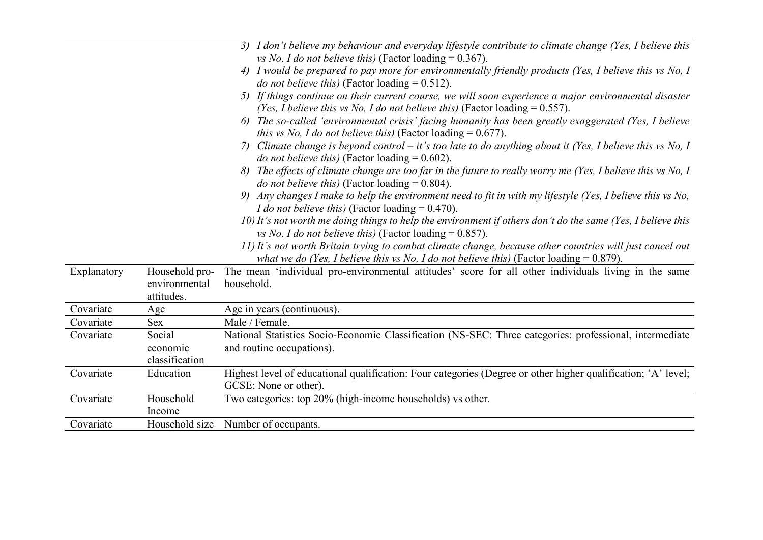|             |                                               | 3) I don't believe my behaviour and everyday lifestyle contribute to climate change (Yes, I believe this                                                                                               |
|-------------|-----------------------------------------------|--------------------------------------------------------------------------------------------------------------------------------------------------------------------------------------------------------|
|             |                                               | vs No, I do not believe this) (Factor loading = $0.367$ ).                                                                                                                                             |
|             |                                               | 4) I would be prepared to pay more for environmentally friendly products (Yes, I believe this vs No, I<br><i>do not believe this</i> ) (Factor loading $= 0.512$ ).                                    |
|             |                                               | 5) If things continue on their current course, we will soon experience a major environmental disaster<br>(Yes, I believe this vs No, I do not believe this) (Factor loading $= 0.557$ ).               |
|             |                                               | The so-called 'environmental crisis' facing humanity has been greatly exaggerated (Yes, I believe<br>6)<br><i>this vs No, I do not believe this</i> ) (Factor loading $= 0.677$ ).                     |
|             |                                               | Climate change is beyond control – it's too late to do anything about it (Yes, I believe this vs No, I<br>7)<br><i>do not believe this</i> ) (Factor loading $= 0.602$ ).                              |
|             |                                               | 8) The effects of climate change are too far in the future to really worry me (Yes, I believe this vs No, I<br><i>do not believe this</i> ) (Factor loading $= 0.804$ ).                               |
|             |                                               | 9) Any changes I make to help the environment need to fit in with my lifestyle (Yes, I believe this vs No,<br><i>I do not believe this)</i> (Factor loading $= 0.470$ ).                               |
|             |                                               | 10) It's not worth me doing things to help the environment if others don't do the same (Yes, I believe this<br>vs No, I do not believe this) (Factor loading = $0.857$ ).                              |
|             |                                               | 11) It's not worth Britain trying to combat climate change, because other countries will just cancel out<br>what we do (Yes, I believe this vs No, I do not believe this) (Factor loading $= 0.879$ ). |
| Explanatory | Household pro-<br>environmental<br>attitudes. | The mean 'individual pro-environmental attitudes' score for all other individuals living in the same<br>household.                                                                                     |
| Covariate   | Age                                           | Age in years (continuous).                                                                                                                                                                             |
| Covariate   | <b>Sex</b>                                    | Male / Female.                                                                                                                                                                                         |
| Covariate   | Social<br>economic                            | National Statistics Socio-Economic Classification (NS-SEC: Three categories: professional, intermediate<br>and routine occupations).                                                                   |
|             | classification                                |                                                                                                                                                                                                        |
| Covariate   | Education                                     | Highest level of educational qualification: Four categories (Degree or other higher qualification; 'A' level;<br>GCSE; None or other).                                                                 |
| Covariate   | Household<br>Income                           | Two categories: top 20% (high-income households) vs other.                                                                                                                                             |
| Covariate   | Household size                                | Number of occupants.                                                                                                                                                                                   |
|             |                                               |                                                                                                                                                                                                        |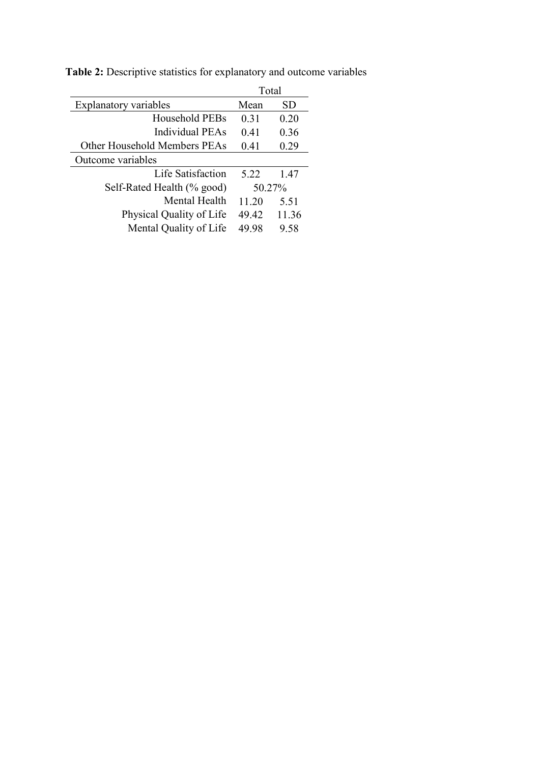|                              | Total  |       |
|------------------------------|--------|-------|
| <b>Explanatory variables</b> | Mean   | SD.   |
| Household PEBs               | 0.31   | 0.20  |
| Individual PEAs              | 0.41   | 0.36  |
| Other Household Members PEAs | 0.41   | 0.29  |
| Outcome variables            |        |       |
| Life Satisfaction            | 5.22   | 1.47  |
| Self-Rated Health (% good)   | 50.27% |       |
| Mental Health                | 11.20  | 5.51  |
| Physical Quality of Life     | 49.42  | 11.36 |
| Mental Quality of Life       | 49.98  | 9.58  |

**Table 2:** Descriptive statistics for explanatory and outcome variables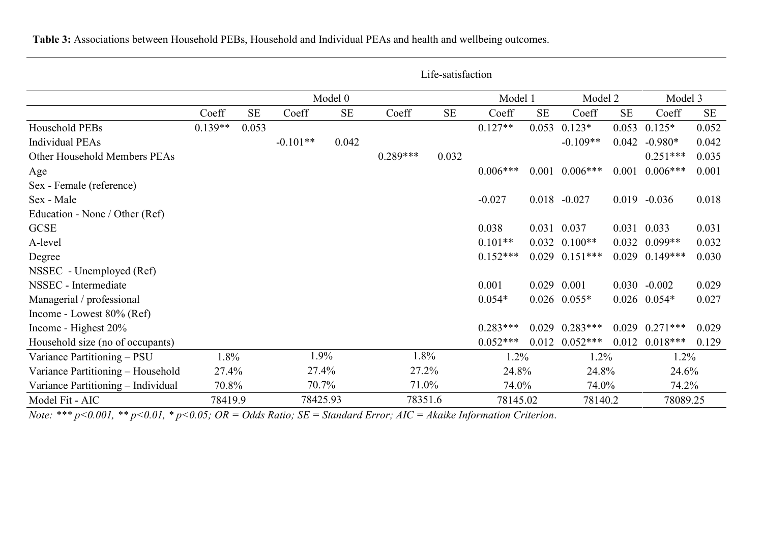|                                    | Life-satisfaction |       |            |           |            |          |            |          |                    |          |                  |           |
|------------------------------------|-------------------|-------|------------|-----------|------------|----------|------------|----------|--------------------|----------|------------------|-----------|
|                                    |                   |       |            | Model 0   |            | Model 1  |            | Model 2  |                    | Model 3  |                  |           |
|                                    | Coeff             | SE    | Coeff      | <b>SE</b> | Coeff      | $\rm SE$ | Coeff      | $\rm SE$ | Coeff              | $\rm SE$ | Coeff            | <b>SE</b> |
| Household PEBs                     | $0.139**$         | 0.053 |            |           |            |          | $0.127**$  | 0.053    | $0.123*$           | 0.053    | $0.125*$         | 0.052     |
| <b>Individual PEAs</b>             |                   |       | $-0.101**$ | 0.042     |            |          |            |          | $-0.109**$         | 0.042    | $-0.980*$        | 0.042     |
| Other Household Members PEAs       |                   |       |            |           | $0.289***$ | 0.032    |            |          |                    |          | $0.251***$       | 0.035     |
| Age                                |                   |       |            |           |            |          | $0.006***$ | 0.001    | $0.006***$         | 0.001    | $0.006***$       | 0.001     |
| Sex - Female (reference)           |                   |       |            |           |            |          |            |          |                    |          |                  |           |
| Sex - Male                         |                   |       |            |           |            |          | $-0.027$   |          | $0.018 - 0.027$    | 0.019    | $-0.036$         | 0.018     |
| Education - None / Other (Ref)     |                   |       |            |           |            |          |            |          |                    |          |                  |           |
| <b>GCSE</b>                        |                   |       |            |           |            |          | 0.038      |          | 0.031 0.037        |          | 0.031 0.033      | 0.031     |
| A-level                            |                   |       |            |           |            |          | $0.101**$  |          | $0.032$ $0.100**$  | 0.032    | $0.099**$        | 0.032     |
| Degree                             |                   |       |            |           |            |          | $0.152***$ |          | $0.029$ $0.151***$ | 0.029    | $0.149***$       | 0.030     |
| NSSEC - Unemployed (Ref)           |                   |       |            |           |            |          |            |          |                    |          |                  |           |
| NSSEC - Intermediate               |                   |       |            |           |            |          | 0.001      |          | 0.029 0.001        |          | $0.030 - 0.002$  | 0.029     |
| Managerial / professional          |                   |       |            |           |            |          | $0.054*$   |          | $0.026$ $0.055*$   |          | $0.026$ $0.054*$ | 0.027     |
| Income - Lowest $80\%$ (Ref)       |                   |       |            |           |            |          |            |          |                    |          |                  |           |
| Income - Highest 20%               |                   |       |            |           |            |          | $0.283***$ |          | $0.029$ $0.283***$ | 0.029    | $0.271***$       | 0.029     |
| Household size (no of occupants)   |                   |       |            |           |            |          | $0.052***$ | 0.012    | $0.052***$         | 0.012    | $0.018***$       | 0.129     |
| Variance Partitioning - PSU        | 1.8%              |       | 1.9%       |           | 1.8%       |          | 1.2%       |          | 1.2%               |          | 1.2%             |           |
| Variance Partitioning - Household  | 27.4%             |       | 27.4%      |           | 27.2%      |          | 24.8%      |          | 24.8%              |          | 24.6%            |           |
| Variance Partitioning – Individual | 70.8%             |       | 70.7%      |           | 71.0%      |          | 74.0%      |          | 74.0%              |          | 74.2%            |           |
| Model Fit - AIC                    | 78419.9           |       | 78425.93   |           | 78351.6    |          | 78145.02   |          | 78140.2            |          | 78089.25         |           |

*Note: \*\*\* p<0.001, \*\* p<0.01, \* p<0.05; OR = Odds Ratio; SE = Standard Error; AIC = Akaike Information Criterion*.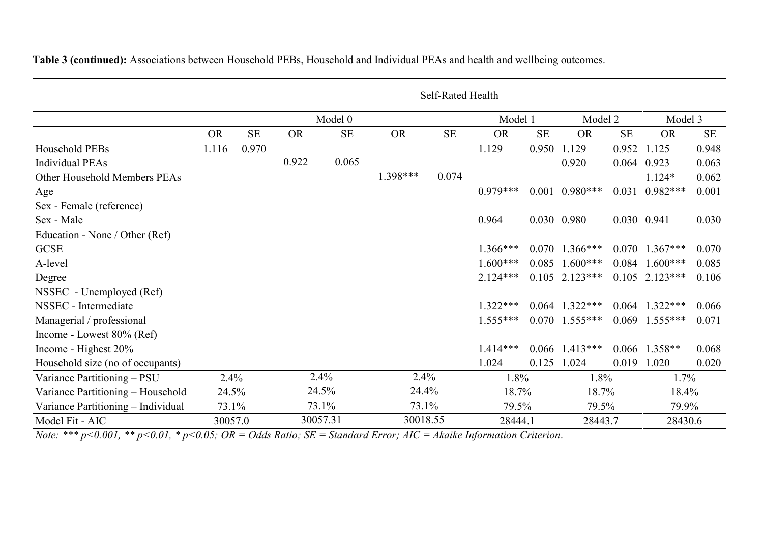|                                    | Self-Rated Health |           |           |           |           |           |            |           |                    |           |                  |          |  |
|------------------------------------|-------------------|-----------|-----------|-----------|-----------|-----------|------------|-----------|--------------------|-----------|------------------|----------|--|
|                                    |                   |           | Model 0   |           |           |           | Model 1    | Model 2   |                    | Model 3   |                  |          |  |
|                                    | <b>OR</b>         | <b>SE</b> | <b>OR</b> | <b>SE</b> | <b>OR</b> | <b>SE</b> | <b>OR</b>  | <b>SE</b> | <b>OR</b>          | <b>SE</b> | <b>OR</b>        | $\rm SE$ |  |
| Household PEBs                     | 1.116             | 0.970     |           |           |           |           | 1.129      | 0.950     | 1.129              | 0.952     | 1.125            | 0.948    |  |
| <b>Individual PEAs</b>             |                   |           | 0.922     | 0.065     |           |           |            |           | 0.920              |           | 0.064 0.923      | 0.063    |  |
| Other Household Members PEAs       |                   |           |           |           | 1.398***  | 0.074     |            |           |                    |           | $1.124*$         | 0.062    |  |
| Age                                |                   |           |           |           |           |           | $0.979***$ |           | $0.001$ $0.980***$ | 0.031     | $0.982***$       | 0.001    |  |
| Sex - Female (reference)           |                   |           |           |           |           |           |            |           |                    |           |                  |          |  |
| Sex - Male                         |                   |           |           |           |           |           | 0.964      |           | 0.030 0.980        |           | 0.030 0.941      | 0.030    |  |
| Education - None / Other (Ref)     |                   |           |           |           |           |           |            |           |                    |           |                  |          |  |
| <b>GCSE</b>                        |                   |           |           |           |           |           | $1.366***$ |           | $0.070$ 1.366***   |           | $0.070$ 1.367*** | 0.070    |  |
| A-level                            |                   |           |           |           |           |           | $1.600***$ | 0.085     | $1.600***$         | 0.084     | $1.600***$       | 0.085    |  |
| Degree                             |                   |           |           |           |           |           | $2.124***$ |           | $0.105$ 2.123***   | 0.105     | $2.123***$       | 0.106    |  |
| NSSEC - Unemployed (Ref)           |                   |           |           |           |           |           |            |           |                    |           |                  |          |  |
| NSSEC - Intermediate               |                   |           |           |           |           |           | $1.322***$ |           | $0.064$ 1.322***   |           | $0.064$ 1.322*** | 0.066    |  |
| Managerial / professional          |                   |           |           |           |           |           | $1.555***$ |           | $0.070$ 1.555***   |           | $0.069$ 1.555*** | 0.071    |  |
| Income - Lowest 80% (Ref)          |                   |           |           |           |           |           |            |           |                    |           |                  |          |  |
| Income - Highest 20%               |                   |           |           |           |           |           | $1.414***$ | 0.066     | $1.413***$         | 0.066     | $1.358**$        | 0.068    |  |
| Household size (no of occupants)   |                   |           |           |           |           |           | 1.024      | 0.125     | 1.024              | 0.019     | 1.020            | 0.020    |  |
| Variance Partitioning - PSU        | 2.4%              |           |           | 2.4%      | 2.4%      |           | 1.8%       |           | 1.8%               |           | 1.7%             |          |  |
| Variance Partitioning - Household  | 24.5%             |           |           | 24.5%     | 24.4%     |           | 18.7%      |           | 18.7%              |           | 18.4%            |          |  |
| Variance Partitioning - Individual | 73.1%             |           |           | 73.1%     | 73.1%     |           | 79.5%      |           | 79.5%              |           | 79.9%            |          |  |
| Model Fit - AIC                    | 30057.0           |           |           | 30057.31  | 30018.55  |           | 28444.1    |           | 28443.7            |           | 28430.6          |          |  |

*Note: \*\*\* p<0.001, \*\* p<0.01, \* p<0.05; OR = Odds Ratio; SE = Standard Error; AIC = Akaike Information Criterion*.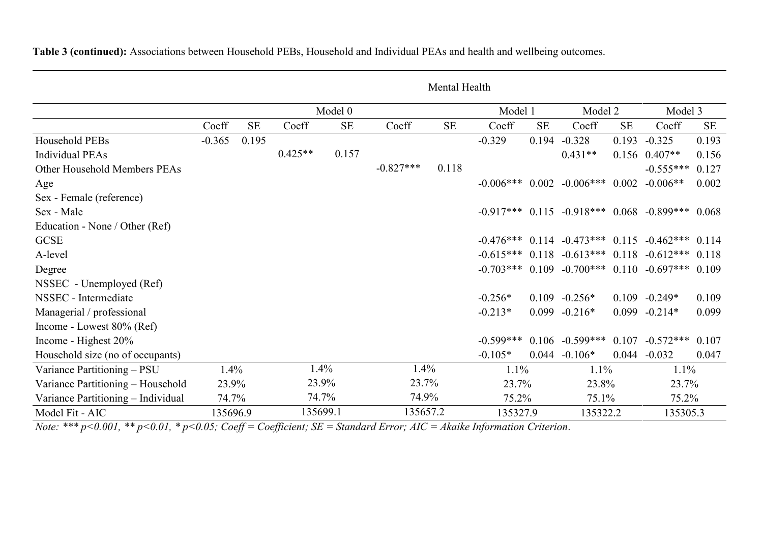|                                    | Mental Health |           |           |           |             |           |             |           |                                                       |           |                   |           |
|------------------------------------|---------------|-----------|-----------|-----------|-------------|-----------|-------------|-----------|-------------------------------------------------------|-----------|-------------------|-----------|
|                                    |               |           | Model 0   |           |             |           | Model 1     |           | Model 2                                               |           | Model 3           |           |
|                                    | Coeff         | <b>SE</b> | Coeff     | <b>SE</b> | Coeff       | <b>SE</b> | Coeff       | <b>SE</b> | Coeff                                                 | <b>SE</b> | Coeff             | <b>SE</b> |
| Household PEBs                     | $-0.365$      | 0.195     |           |           |             |           | $-0.329$    | 0.194     | $-0.328$                                              | 0.193     | $-0.325$          | 0.193     |
| <b>Individual PEAs</b>             |               |           | $0.425**$ | 0.157     |             |           |             |           | $0.431**$                                             |           | $0.156$ $0.407**$ | 0.156     |
| Other Household Members PEAs       |               |           |           |           | $-0.827***$ | 0.118     |             |           |                                                       |           | $-0.555***$       | 0.127     |
| Age                                |               |           |           |           |             |           | $-0.006***$ |           | $0.002 -0.006***$                                     | 0.002     | $-0.006**$        | 0.002     |
| Sex - Female (reference)           |               |           |           |           |             |           |             |           |                                                       |           |                   |           |
| Sex - Male                         |               |           |           |           |             |           |             |           | $-0.917***$ 0.115 $-0.918***$ 0.068 $-0.899***$ 0.068 |           |                   |           |
| Education - None / Other (Ref)     |               |           |           |           |             |           |             |           |                                                       |           |                   |           |
| <b>GCSE</b>                        |               |           |           |           |             |           |             |           | $-0.476***$ 0.114 $-0.473***$ 0.115 $-0.462***$ 0.114 |           |                   |           |
| A-level                            |               |           |           |           |             |           |             |           | $-0.615***$ 0.118 $-0.613***$ 0.118 $-0.612***$       |           |                   | 0.118     |
| Degree                             |               |           |           |           |             |           |             |           | $-0.703***$ 0.109 $-0.700***$ 0.110 $-0.697***$ 0.109 |           |                   |           |
| NSSEC - Unemployed (Ref)           |               |           |           |           |             |           |             |           |                                                       |           |                   |           |
| NSSEC - Intermediate               |               |           |           |           |             |           | $-0.256*$   |           | $0.109 - 0.256*$                                      |           | $0.109 - 0.249*$  | 0.109     |
| Managerial / professional          |               |           |           |           |             |           | $-0.213*$   |           | $0.099 - 0.216*$                                      |           | $0.099 - 0.214*$  | 0.099     |
| Income - Lowest 80% (Ref)          |               |           |           |           |             |           |             |           |                                                       |           |                   |           |
| Income - Highest 20%               |               |           |           |           |             |           | $-0.599***$ |           | $0.106 -0.599***$                                     |           | $0.107 -0.572***$ | 0.107     |
| Household size (no of occupants)   |               |           |           |           |             |           | $-0.105*$   | 0.044     | $-0.106*$                                             | 0.044     | $-0.032$          | 0.047     |
| Variance Partitioning - PSU        | 1.4%          |           | 1.4%      |           | 1.4%        |           | 1.1%        |           | 1.1%                                                  |           | 1.1%              |           |
| Variance Partitioning - Household  | 23.9%         |           | 23.9%     |           | 23.7%       |           | 23.7%       |           | 23.8%                                                 |           | 23.7%             |           |
| Variance Partitioning - Individual | 74.7%         |           | 74.7%     |           | 74.9%       |           | 75.2%       |           | 75.1%                                                 |           | 75.2%             |           |
| Model Fit - AIC                    | 135696.9      |           | 135699.1  |           | 135657.2    |           | 135327.9    |           | 135322.2                                              |           | 135305.3          |           |

*Note: \*\*\* p<0.001, \*\* p<0.01, \* p<0.05; Coeff = Coefficient; SE = Standard Error; AIC = Akaike Information Criterion*.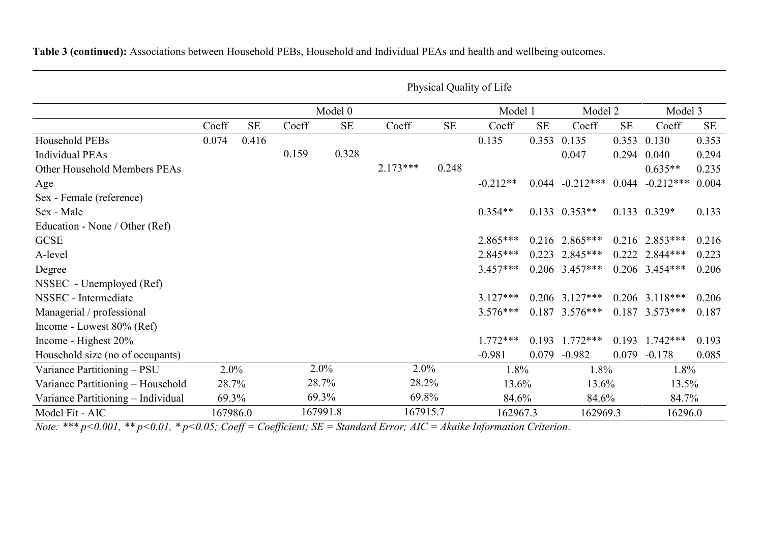|                                    | Physical Quality of Life |           |       |          |            |          |            |       |                   |       |                  |           |  |
|------------------------------------|--------------------------|-----------|-------|----------|------------|----------|------------|-------|-------------------|-------|------------------|-----------|--|
|                                    |                          |           |       | Model 0  |            |          | Model 1    |       | Model 2           |       | Model 3          |           |  |
|                                    | Coeff                    | <b>SE</b> | Coeff | $\rm SE$ | Coeff      | $\rm SE$ | Coeff      | SE    | Coeff             | SE    | Coeff            | <b>SE</b> |  |
| Household PEBs                     | 0.074                    | 0.416     |       |          |            |          | 0.135      | 0.353 | 0.135             | 0.353 | 0.130            | 0.353     |  |
| <b>Individual PEAs</b>             |                          |           | 0.159 | 0.328    |            |          |            |       | 0.047             | 0.294 | 0.040            | 0.294     |  |
| Other Household Members PEAs       |                          |           |       |          | $2.173***$ | 0.248    |            |       |                   |       | $0.635**$        | 0.235     |  |
| Age                                |                          |           |       |          |            |          | $-0.212**$ | 0.044 | $-0.212***$       | 0.044 | $-0.212***$      | 0.004     |  |
| Sex - Female (reference)           |                          |           |       |          |            |          |            |       |                   |       |                  |           |  |
| Sex - Male                         |                          |           |       |          |            |          | $0.354**$  |       | $0.133$ $0.353**$ |       | $0.133$ $0.329*$ | 0.133     |  |
| Education - None / Other (Ref)     |                          |           |       |          |            |          |            |       |                   |       |                  |           |  |
| <b>GCSE</b>                        |                          |           |       |          |            |          | $2.865***$ |       | $0.216$ 2.865***  |       | $0.216$ 2.853*** | 0.216     |  |
| A-level                            |                          |           |       |          |            |          | $2.845***$ |       | $0.223$ 2.845***  |       | $0.222$ 2.844*** | 0.223     |  |
| Degree                             |                          |           |       |          |            |          | $3.457***$ |       | $0.206$ 3.457***  |       | $0.206$ 3.454*** | 0.206     |  |
| NSSEC - Unemployed (Ref)           |                          |           |       |          |            |          |            |       |                   |       |                  |           |  |
| NSSEC - Intermediate               |                          |           |       |          |            |          | $3.127***$ |       | $0.206$ 3.127***  |       | $0.206$ 3.118*** | 0.206     |  |
| Managerial / professional          |                          |           |       |          |            |          | $3.576***$ |       | $0.187$ 3.576***  |       | $0.187$ 3.573*** | 0.187     |  |
| Income - Lowest 80% (Ref)          |                          |           |       |          |            |          |            |       |                   |       |                  |           |  |
| Income - Highest 20%               |                          |           |       |          |            |          | $1.772***$ | 0.193 | $1.772***$        |       | $0.193$ 1.742*** | 0.193     |  |
| Household size (no of occupants)   |                          |           |       |          |            |          | $-0.981$   | 0.079 | $-0.982$          | 0.079 | $-0.178$         | 0.085     |  |
| Variance Partitioning - PSU        | $2.0\%$                  |           |       | 2.0%     | 2.0%       |          | 1.8%       |       | 1.8%              |       | 1.8%             |           |  |
| Variance Partitioning - Household  | 28.7%                    |           | 28.7% |          | 28.2%      |          | 13.6%      |       | 13.6%             |       | 13.5%            |           |  |
| Variance Partitioning - Individual | 69.3%                    |           |       | 69.3%    | 69.8%      |          | 84.6%      |       | 84.6%             |       | 84.7%            |           |  |
| Model Fit - AIC                    | 167986.0                 |           |       | 167991.8 | 167915.7   |          | 162967.3   |       | 162969.3          |       | 16296.0          |           |  |

*Note: \*\*\* p<0.001, \*\* p<0.01, \* p<0.05; Coeff = Coefficient; SE = Standard Error; AIC = Akaike Information Criterion*.